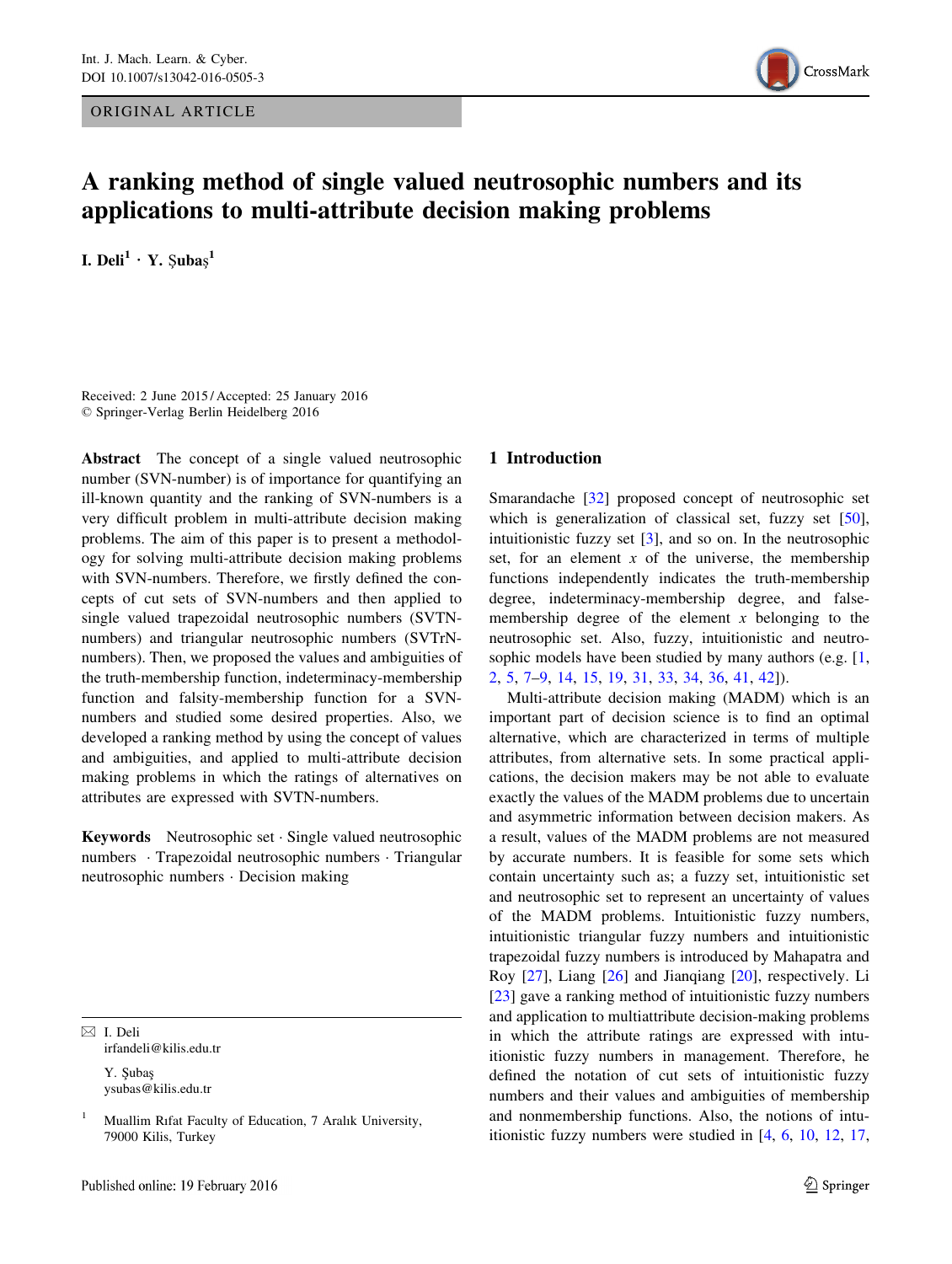ORIGINAL ARTICLE



# A ranking method of single valued neutrosophic numbers and its applications to multi-attribute decision making problems

I. Deli $^1 \cdot$  Y.  $\beta$ ubaş $^1$ 

Received: 2 June 2015 / Accepted: 25 January 2016 © Springer-Verlag Berlin Heidelberg 2016

Abstract The concept of a single valued neutrosophic number (SVN-number) is of importance for quantifying an ill-known quantity and the ranking of SVN-numbers is a very difficult problem in multi-attribute decision making problems. The aim of this paper is to present a methodology for solving multi-attribute decision making problems with SVN-numbers. Therefore, we firstly defined the concepts of cut sets of SVN-numbers and then applied to single valued trapezoidal neutrosophic numbers (SVTNnumbers) and triangular neutrosophic numbers (SVTrNnumbers). Then, we proposed the values and ambiguities of the truth-membership function, indeterminacy-membership function and falsity-membership function for a SVNnumbers and studied some desired properties. Also, we developed a ranking method by using the concept of values and ambiguities, and applied to multi-attribute decision making problems in which the ratings of alternatives on attributes are expressed with SVTN-numbers.

Keywords Neutrosophic set · Single valued neutrosophic numbers · Trapezoidal neutrosophic numbers · Triangular neutrosophic numbers · Decision making

 $\boxtimes$  I. Deli irfandeli@kilis.edu.tr

> Y. Şubaş ysubas@kilis.edu.tr

## 1 Introduction

Smarandache [32] proposed concept of neutrosophic set which is generalization of classical set, fuzzy set [50], intuitionistic fuzzy set [3], and so on. In the neutrosophic set, for an element  $x$  of the universe, the membership functions independently indicates the truth-membership degree, indeterminacy-membership degree, and falsemembership degree of the element  $x$  belonging to the neutrosophic set. Also, fuzzy, intuitionistic and neutrosophic models have been studied by many authors (e.g. [1, 2, 5, 7–9, 14, 15, 19, 31, 33, 34, 36, 41, 42]).

Multi-attribute decision making (MADM) which is an important part of decision science is to find an optimal alternative, which are characterized in terms of multiple attributes, from alternative sets. In some practical applications, the decision makers may be not able to evaluate exactly the values of the MADM problems due to uncertain and asymmetric information between decision makers. As a result, values of the MADM problems are not measured by accurate numbers. It is feasible for some sets which contain uncertainty such as; a fuzzy set, intuitionistic set and neutrosophic set to represent an uncertainty of values of the MADM problems. Intuitionistic fuzzy numbers, intuitionistic triangular fuzzy numbers and intuitionistic trapezoidal fuzzy numbers is introduced by Mahapatra and Roy [27], Liang [26] and Jianqiang [20], respectively. Li [23] gave a ranking method of intuitionistic fuzzy numbers and application to multiattribute decision-making problems in which the attribute ratings are expressed with intuitionistic fuzzy numbers in management. Therefore, he defined the notation of cut sets of intuitionistic fuzzy numbers and their values and ambiguities of membership and nonmembership functions. Also, the notions of intuitionistic fuzzy numbers were studied in [4, 6, 10, 12, 17,

<sup>1</sup> Muallim Rıfat Faculty of Education, 7 Aralık University, 79000 Kilis, Turkey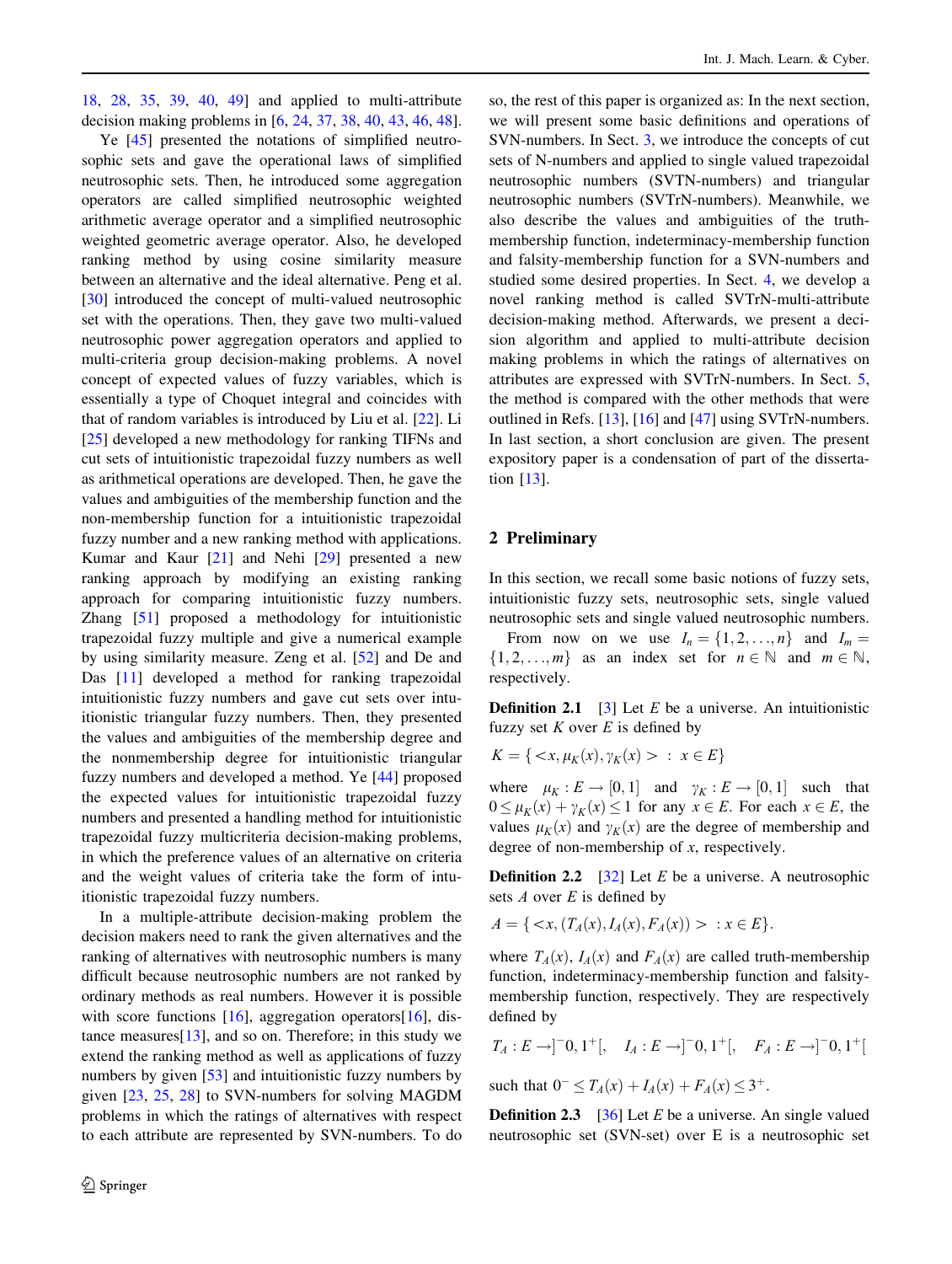18, 28, 35, 39, 40, 49] and applied to multi-attribute decision making problems in [6, 24, 37, 38, 40, 43, 46, 48].

Ye [45] presented the notations of simplified neutrosophic sets and gave the operational laws of simplified neutrosophic sets. Then, he introduced some aggregation operators are called simplified neutrosophic weighted arithmetic average operator and a simplified neutrosophic weighted geometric average operator. Also, he developed ranking method by using cosine similarity measure between an alternative and the ideal alternative. Peng et al. [30] introduced the concept of multi-valued neutrosophic set with the operations. Then, they gave two multi-valued neutrosophic power aggregation operators and applied to multi-criteria group decision-making problems. A novel concept of expected values of fuzzy variables, which is essentially a type of Choquet integral and coincides with that of random variables is introduced by Liu et al. [22]. Li [25] developed a new methodology for ranking TIFNs and cut sets of intuitionistic trapezoidal fuzzy numbers as well as arithmetical operations are developed. Then, he gave the values and ambiguities of the membership function and the non-membership function for a intuitionistic trapezoidal fuzzy number and a new ranking method with applications. Kumar and Kaur [21] and Nehi [29] presented a new ranking approach by modifying an existing ranking approach for comparing intuitionistic fuzzy numbers. Zhang [51] proposed a methodology for intuitionistic trapezoidal fuzzy multiple and give a numerical example by using similarity measure. Zeng et al. [52] and De and Das [11] developed a method for ranking trapezoidal intuitionistic fuzzy numbers and gave cut sets over intuitionistic triangular fuzzy numbers. Then, they presented the values and ambiguities of the membership degree and the nonmembership degree for intuitionistic triangular fuzzy numbers and developed a method. Ye [44] proposed the expected values for intuitionistic trapezoidal fuzzy numbers and presented a handling method for intuitionistic trapezoidal fuzzy multicriteria decision-making problems, in which the preference values of an alternative on criteria and the weight values of criteria take the form of intuitionistic trapezoidal fuzzy numbers.

In a multiple-attribute decision-making problem the decision makers need to rank the given alternatives and the ranking of alternatives with neutrosophic numbers is many difficult because neutrosophic numbers are not ranked by ordinary methods as real numbers. However it is possible with score functions [16], aggregation operators[16], distance measures $[13]$ , and so on. Therefore; in this study we extend the ranking method as well as applications of fuzzy numbers by given [53] and intuitionistic fuzzy numbers by given [23, 25, 28] to SVN-numbers for solving MAGDM problems in which the ratings of alternatives with respect to each attribute are represented by SVN-numbers. To do so, the rest of this paper is organized as: In the next section, we will present some basic definitions and operations of SVN-numbers. In Sect. 3, we introduce the concepts of cut sets of N-numbers and applied to single valued trapezoidal neutrosophic numbers (SVTN-numbers) and triangular neutrosophic numbers (SVTrN-numbers). Meanwhile, we also describe the values and ambiguities of the truthmembership function, indeterminacy-membership function and falsity-membership function for a SVN-numbers and studied some desired properties. In Sect. 4, we develop a novel ranking method is called SVTrN-multi-attribute decision-making method. Afterwards, we present a decision algorithm and applied to multi-attribute decision making problems in which the ratings of alternatives on attributes are expressed with SVTrN-numbers. In Sect. 5, the method is compared with the other methods that were outlined in Refs. [13], [16] and [47] using SVTrN-numbers. In last section, a short conclusion are given. The present expository paper is a condensation of part of the dissertation [13].

## 2 Preliminary

In this section, we recall some basic notions of fuzzy sets, intuitionistic fuzzy sets, neutrosophic sets, single valued neutrosophic sets and single valued neutrosophic numbers.

From now on we use  $I_n = \{1, 2, \ldots, n\}$  and  $I_m =$  $\{1, 2, \ldots, m\}$  as an index set for  $n \in \mathbb{N}$  and  $m \in \mathbb{N}$ , respectively.

**Definition 2.1** [3] Let  $E$  be a universe. An intuitionistic fuzzy set K over  $E$  is defined by

$$
K = \{ \langle x, \mu_K(x), \gamma_K(x) \rangle : x \in E \}
$$

where  $\mu_K : E \to [0, 1]$  and  $\gamma_K : E \to [0, 1]$  such that<br>  $0 \le \mu_K(x) + \gamma_K(x) \le 1$  for any  $x \in E$  for each  $x \in E$  the  $0 \leq \mu_K(x) + \gamma_K(x) \leq 1$  for any  $x \in E$ . For each  $x \in E$ , the values  $\mu_K(x)$  and  $\gamma_K(x)$  are the degree of membership and degree of non-membership of x, respectively.

**Definition 2.2** [32] Let E be a universe. A neutrosophic sets  $A$  over  $E$  is defined by

$$
A = \{ \langle x, (T_A(x), I_A(x), F_A(x)) \rangle : x \in E \}.
$$

where  $T_A(x)$ ,  $I_A(x)$  and  $F_A(x)$  are called truth-membership function, indeterminacy-membership function and falsitymembership function, respectively. They are respectively defined by

$$
T_A: E \to ]-0, 1^+[, \quad I_A: E \to ]-0, 1^+[, \quad F_A: E \to ]-0, 1^+[
$$

such that  $0^- \leq T_A(x) + I_A(x) + F_A(x) \leq 3^+$ .

**Definition 2.3** [36] Let E be a universe. An single valued neutrosophic set (SVN-set) over E is a neutrosophic set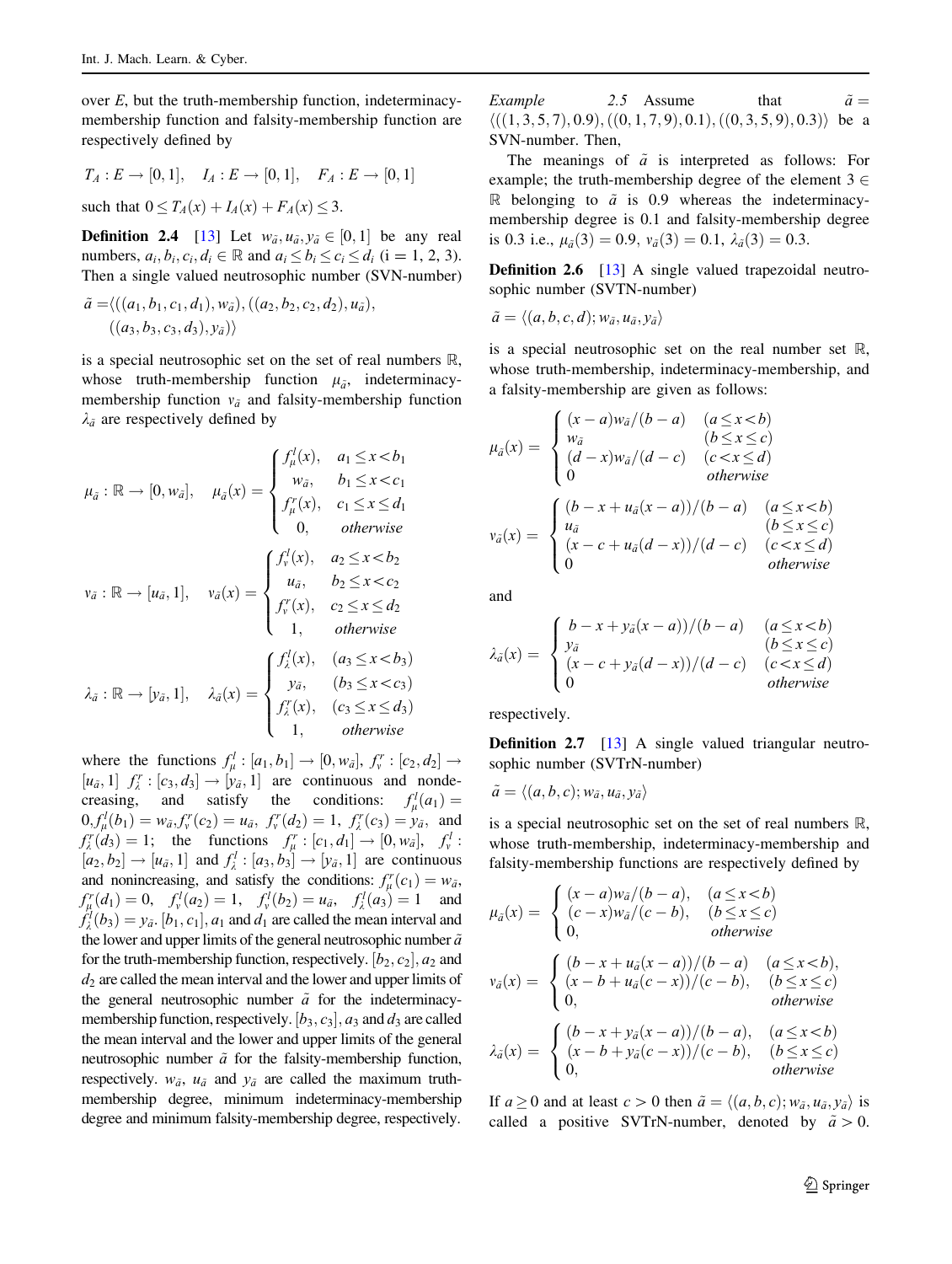over  $E$ , but the truth-membership function, indeterminacymembership function and falsity-membership function are respectively defined by

$$
T_A: E \to [0,1], \quad I_A: E \to [0,1], \quad F_A: E \to [0,1]
$$

such that  $0 \leq T_A(x) + I_A(x) + F_A(x) \leq 3$ .

**Definition 2.4** [13] Let  $w_{\tilde{a}}, u_{\tilde{a}}, v_{\tilde{a}} \in [0,1]$  be any real numbers  $a, b, c, d \in \mathbb{R}$  and  $a, \leq b, \leq a \leq d, (i-1, 2, 3)$ numbers,  $a_i, b_i, c_i, d_i \in \mathbb{R}$  and  $a_i \leq b_i \leq c_i \leq d_i$  (i = 1, 2, 3). Then a single valued neutrosophic number (SVN-number)

$$
\tilde{a} = \langle ((a_1, b_1, c_1, d_1), w_{\tilde{a}}), ((a_2, b_2, c_2, d_2), u_{\tilde{a}}), ((a_3, b_3, c_3, d_3), y_{\tilde{a}}) \rangle
$$

is a special neutrosophic set on the set of real numbers R, whose truth-membership function  $\mu_{\tilde{a}}$ , indeterminacymembership function  $v_{\tilde{a}}$  and falsity-membership function  $\lambda_{\tilde{a}}$  are respectively defined by

$$
\mu_{\tilde{a}} : \mathbb{R} \to [0, w_{\tilde{a}}], \quad \mu_{\tilde{a}}(x) = \begin{cases}\nf_{\mu}^{l}(x), & a_{1} \leq x < b_{1} \\
w_{\tilde{a}}, & b_{1} \leq x < c_{1} \\
f_{\mu}^{r}(x), & c_{1} \leq x \leq d_{1} \\
0, & \text{otherwise}\n\end{cases}
$$
\n
$$
v_{\tilde{a}} : \mathbb{R} \to [u_{\tilde{a}}, 1], \quad v_{\tilde{a}}(x) = \begin{cases}\nf_{v}^{l}(x), & a_{2} \leq x < b_{2} \\
u_{\tilde{a}}, & b_{2} \leq x < c_{2} \\
f_{v}^{r}(x), & c_{2} \leq x \leq d_{2} \\
1, & \text{otherwise}\n\end{cases}
$$
\n
$$
\lambda_{\tilde{a}} : \mathbb{R} \to [v_{\tilde{a}}, 1], \quad \lambda_{\tilde{a}}(x) = \begin{cases}\nf_{\lambda}^{l}(x), & (a_{3} \leq x < b_{3}) \\
y_{\tilde{a}}, & (b_{3} \leq x < c_{3}) \\
f_{\lambda}^{r}(x), & (c_{3} \leq x \leq d_{3}) \\
1, & \text{otherwise}\n\end{cases}
$$

where the functions  $f_{\mu}^l : [a_1, b_1] \rightarrow [0, w_{\bar{a}}], f_{\nu}^r : [c_2, d_2]$ <br> $[u_1, 1]$   $f' : [c_2, d_1] \rightarrow [u_2, 1]$  are continuous and non  $[u_{\tilde{a}}, 1]$   $f_{\tilde{\lambda}}^r : [c_3, d_3] \rightarrow [v_{\tilde{a}}, 1]$  are continuous and nonde-<br>creasing and satisfy the conditions:  $f'(a)$ creasing, and satisfy the conditions:  $f'_\n\mu(a_1) = 0$ ,  $f'(b_1) = u_1$ ,  $f'(c_2) = 1$ ,  $f'(c_3) = u_2$ , and  $0, f'_{\mu}(b_1) = w_{\tilde{a}}, f''_r(c_2) = u_{\tilde{a}}, f''_r(d_2) = 1, f''_r(c_3) = y_{\tilde{a}}, \text{ and}$ <br>  $f'(d_1) = 1$ ; the functions  $f' \cdot [c, d_1] \rightarrow [0, w_1]$   $f' \cdot$  $f_k^r(d_3) = 1$ ; the functions  $f_k^r : [c_1, d_1] \rightarrow [0, w_d], f_v^l :$ <br> $[a, b_1] \rightarrow [w, 1]$  and  $f^l : [a, b_1] \rightarrow [w, 1]$  are continuous  $[a_2, b_2] \rightarrow [u_{\tilde{a}}, 1]$  and  $f'_\lambda : [a_3, b_3] \rightarrow [v_{\tilde{a}}, 1]$  are continuous<br>and populations and estisfy the conditions:  $f'(a_1) = w_{\tilde{a}}$ and nonincreasing, and satisfy the conditions:  $f_{\mu}^{r}(c_1) = w_{\bar{a}}$ ,<br> $f'(d_1) = 0$ ,  $f'(c_2) = 1$ ,  $f'(c_1) = u_{\bar{a}}$ ,  $f'(c_2) = 1$ , and  $f_{\mu}^{r}(d_{1}) = 0$ ,  $f_{\nu}^{l}(a_{2}) = 1$ ,  $f_{\nu}^{l}(b_{2}) = u_{\bar{a}}$ ,  $f_{\lambda}^{l}(a_{3}) = 1$  and  $f_{\lambda}^{l}(b_{3}) = u_{\bar{a}}$ ,  $f_{\lambda}^{l}(a_{3}) = 1$  and  $f'_{\lambda}(b_3) = y_{\tilde{a}}$ .  $[b_1, c_1]$ ,  $a_1$  and  $d_1$  are called the mean interval and the lower and upper limits of the general neutrosophic number  $\tilde{a}$ the lower and upper limits of the general neutrosophic number  $\tilde{a}$ for the truth-membership function, respectively.  $[b_2, c_2]$ ,  $a_2$  and  $d_2$  are called the mean interval and the lower and upper limits of  $d_2$  are called the mean interval and the lower and upper limits of the general neutrosophic number  $\tilde{a}$  for the indeterminacymembership function, respectively.  $[b_3, c_3]$ ,  $a_3$  and  $d_3$  are called<br>the mean interval and the lower and upper limits of the general the mean interval and the lower and upper limits of the general neutrosophic number  $\tilde{a}$  for the falsity-membership function, respectively.  $w_{\tilde{a}}$ ,  $u_{\tilde{a}}$  and  $y_{\tilde{a}}$  are called the maximum truthmembership degree, minimum indeterminacy-membership degree and minimum falsity-membership degree, respectively.

Example 2.5 Assume that  $\tilde{a} =$ <br> $\frac{1}{11}$  (1, 3, 5, 7), 0, 0), (0, 1, 7, 0), 0, 1), (0, 3, 5, 0), 0, 3)), being  $\langle ((1, 3, 5, 7), 0.9), ((0, 1, 7, 9), 0.1), ((0, 3, 5, 9), 0.3) \rangle$  be a<br>SVN number. Then SVN-number. Then,

The meanings of  $\tilde{a}$  is interpreted as follows: For example; the truth-membership degree of the element  $3 \in$ R belonging to  $\tilde{a}$  is 0.9 whereas the indeterminacymembership degree is 0.1 and falsity-membership degree is 0.3 i.e.,  $\mu_{\tilde{a}}(3)=0.9$ ,  $\nu_{\tilde{a}}(3)=0.1$ ,  $\lambda_{\tilde{a}}(3)=0.3$ .

**Definition 2.6** [13] A single valued trapezoidal neutrosophic number (SVTN-number)

$$
\tilde{a} = \langle (a, b, c, d); w_{\tilde{a}}, u_{\tilde{a}}, y_{\tilde{a}} \rangle
$$

is a special neutrosophic set on the real number set R, whose truth-membership, indeterminacy-membership, and a falsity-membership are given as follows:

$$
\mu_{\tilde{a}}(x) = \begin{cases}\n(x-a)w_{\tilde{a}}/(b-a) & (a \leq x < b) \\
w_{\tilde{a}} & (b \leq x \leq c) \\
(d-x)w_{\tilde{a}}/(d-c) & (c < x \leq d) \\
0 & otherwise\n\end{cases}
$$
\n
$$
v_{\tilde{a}}(x) = \begin{cases}\n(b-x + u_{\tilde{a}}(x-a))/(b-a) & (a \leq x < b) \\
u_{\tilde{a}} & (b \leq x \leq c) \\
(x-c + u_{\tilde{a}}(d-x))/(d-c) & (c < x \leq d) \\
0 & otherwise\n\end{cases}
$$

and

$$
\lambda_{\tilde{a}}(x) = \begin{cases}\n b - x + y_{\tilde{a}}(x - a))/(b - a) & (a \le x < b) \\
 y_{\tilde{a}} & (b \le x \le c) \\
 (x - c + y_{\tilde{a}}(d - x))/(d - c) & (c < x \le d) \\
 0 & \text{otherwise}\n\end{cases}
$$

respectively.

**Definition 2.7** [13] A single valued triangular neutrosophic number (SVTrN-number)

$$
\tilde{a} = \langle (a, b, c); w_{\tilde{a}}, u_{\tilde{a}}, y_{\tilde{a}} \rangle
$$

is a special neutrosophic set on the set of real numbers R, whose truth-membership, indeterminacy-membership and falsity-membership functions are respectively defined by

$$
\mu_{\tilde{a}}(x) = \begin{cases}\n(x-a)w_{\tilde{a}}/(b-a), & (a \leq x < b) \\
(c-x)w_{\tilde{a}}/(c-b), & (b \leq x \leq c) \\
0, & otherwise\n\end{cases}
$$
\n
$$
v_{\tilde{a}}(x) = \begin{cases}\n(b-x + u_{\tilde{a}}(x-a))/(b-a) & (a \leq x < b), \\
(x - b + u_{\tilde{a}}(c-x))/(c-b), & (b \leq x \leq c) \\
0, & otherwise\n\end{cases}
$$
\n
$$
\lambda_{\tilde{a}}(x) = \begin{cases}\n(b-x + y_{\tilde{a}}(x-a))/(b-a), & (a \leq x < b) \\
(x - b + y_{\tilde{a}}(c-x))/(c-b), & (b \leq x \leq c) \\
0, & otherwise\n\end{cases}
$$

If  $a \ge 0$  and at least  $c > 0$  then  $\tilde{a} = \langle (a, b, c); w_{\tilde{a}}, u_{\tilde{a}}, y_{\tilde{a}} \rangle$  is called a positive SVTrN-number, denoted by  $\tilde{a} > 0$ .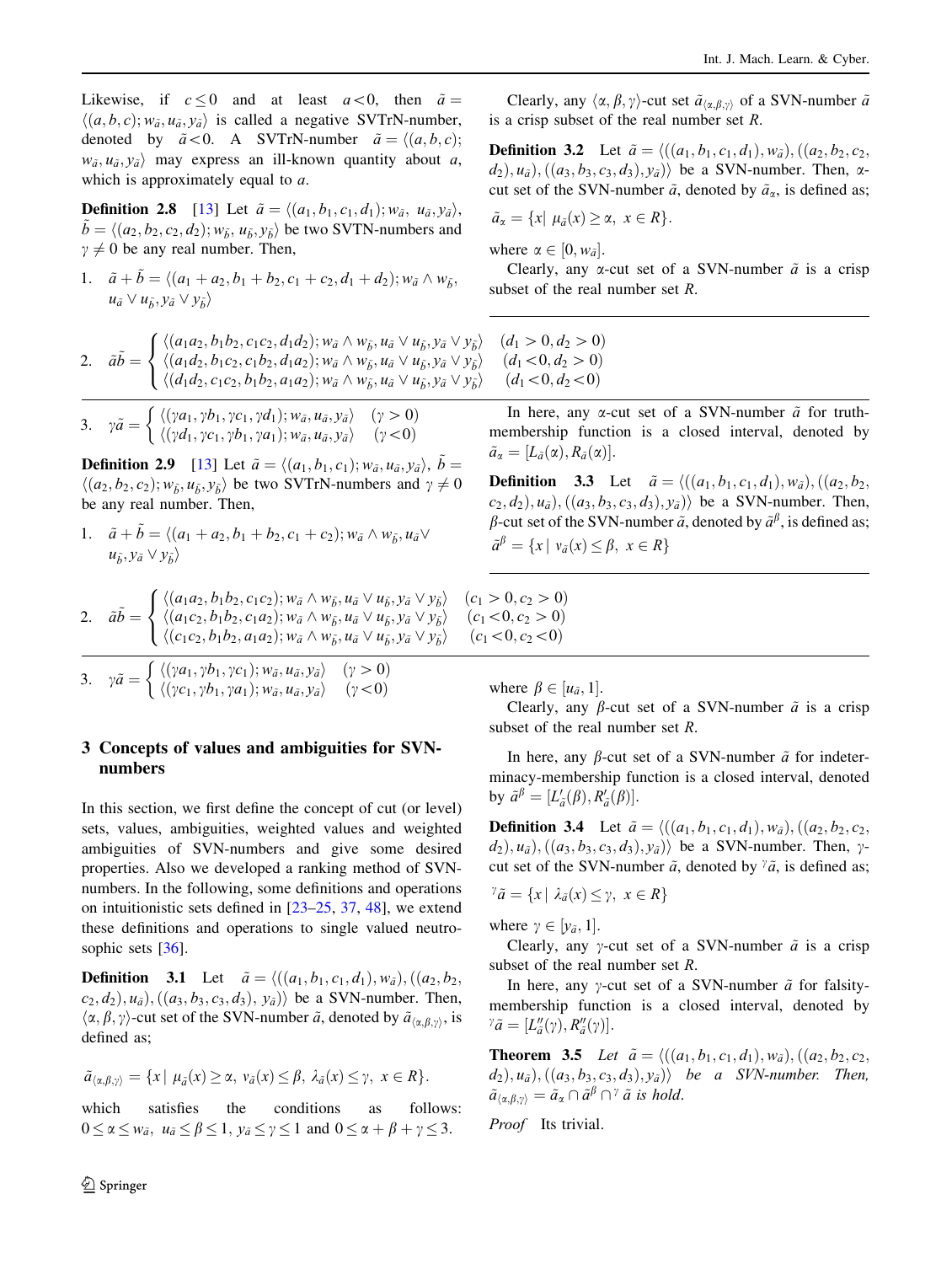Likewise, if  $c \leq 0$  and at least  $a < 0$ , then  $\tilde{a} =$  $\langle (a, b, c); w_{\tilde{a}}, u_{\tilde{a}}, y_{\tilde{a}} \rangle$  is called a negative SVTrN-number, denoted by  $\tilde{a}$  < 0. A SVTrN-number  $\tilde{a} = \langle (a, b, c);$  $w_{\tilde{a}}, u_{\tilde{a}}, v_{\tilde{a}}$  may express an ill-known quantity about a, which is approximately equal to a.

**Definition 2.8** [13] Let  $\tilde{a} = \langle (a_1, b_1, c_1, d_1); w_{\tilde{a}}, u_{\tilde{a}}, y_{\tilde{a}} \rangle$ ,  $\tilde{b} = \langle (a_2, b_2, c_2, d_2); w_{\tilde{b}}, u_{\tilde{b}}, y_{\tilde{b}} \rangle$  be two SVTN-numbers and  $\gamma \neq 0$  be any real number. Then,

1. 
$$
\tilde{a} + \tilde{b} = \langle (a_1 + a_2, b_1 + b_2, c_1 + c_2, d_1 + d_2); w_{\tilde{a}} \wedge w_{\tilde{b}},
$$

$$
u_{\tilde{a}} \vee u_{\tilde{b}}, y_{\tilde{a}} \vee y_{\tilde{b}} \rangle
$$

2. 
$$
\tilde{a}\tilde{b} = \begin{cases} \langle (a_1a_2, b_1b_2, c_1c_2, d_1d_2); w_{\tilde{a}} \wedge w_{\tilde{b}}, u_{\tilde{a}} \vee u_{\tilde{b}}, y_{\tilde{a}} \vee y_{\tilde{b}} \rangle & (d_1 > 0, d_2 > 0) \\ \langle (a_1d_2, b_1c_2, c_1b_2, d_1a_2); w_{\tilde{a}} \wedge w_{\tilde{b}}, u_{\tilde{a}} \vee u_{\tilde{b}}, y_{\tilde{a}} \vee y_{\tilde{b}} \rangle & (d_1 < 0, d_2 > 0) \\ \langle (d_1d_2, c_1c_2, b_1b_2, a_1a_2); w_{\tilde{a}} \wedge w_{\tilde{b}}, u_{\tilde{a}} \vee u_{\tilde{b}}, y_{\tilde{a}} \vee y_{\tilde{b}} \rangle & (d_1 < 0, d_2 < 0) \end{cases}
$$

3. 
$$
\gamma \tilde{a} = \begin{cases} \langle (\gamma a_1, \gamma b_1, \gamma c_1, \gamma d_1); w_{\tilde{a}}, u_{\tilde{a}}, y_{\tilde{a}} \rangle & (\gamma > 0) \\ \langle (\gamma d_1, \gamma c_1, \gamma b_1, \gamma a_1); w_{\tilde{a}}, u_{\tilde{a}}, y_{\tilde{a}} \rangle & (\gamma < 0) \end{cases}
$$

**Definition 2.9** [13] Let  $\tilde{a} = \langle (a_1, b_1, c_1); w_{\tilde{a}}, u_{\tilde{a}}, y_{\tilde{a}} \rangle, \tilde{b} =$  $\langle (a_2, b_2, c_2); w_{\tilde{b}}, u_{\tilde{b}}, y_{\tilde{b}} \rangle$  be two SVTrN-numbers and  $\gamma \neq 0$ be any real number. Then,

1. 
$$
\tilde{a} + \tilde{b} = \langle (a_1 + a_2, b_1 + b_2, c_1 + c_2); w_{\tilde{a}} \wedge w_{\tilde{b}}, u_{\tilde{a}} \vee u_{\tilde{b}}, y_{\tilde{a}} \vee y_{\tilde{b}} \rangle
$$

2. 
$$
\tilde{a}\tilde{b} = \begin{cases} \langle (a_1a_2, b_1b_2, c_1c_2); w_{\tilde{a}} \wedge w_{\tilde{b}}, u_{\tilde{a}} \vee u_{\tilde{b}}, y_{\tilde{a}} \vee y_{\tilde{b}} \rangle & (c_1a_2, b_1b_2, c_1a_2); w_{\tilde{a}} \wedge w_{\tilde{b}}, u_{\tilde{a}} \vee u_{\tilde{b}}, y_{\tilde{a}} \vee y_{\tilde{b}} \rangle & (c_1c_2, b_1b_2, a_1a_2); w_{\tilde{a}} \wedge w_{\tilde{b}}, u_{\tilde{a}} \vee u_{\tilde{b}}, y_{\tilde{a}} \vee y_{\tilde{b}} \rangle & (d_1b_2, b_1b_2, a_1a_2); w_{\tilde{a}} \wedge w_{\tilde{b}}, u_{\tilde{a}} \vee u_{\tilde{b}}, y_{\tilde{a}} \vee y_{\tilde{b}} \rangle & (e_1b_2, b_1b_2, a_1a_2); w_{\tilde{a}} \wedge w_{\tilde{b}}, u_{\tilde{a}} \vee u_{\tilde{b}}, y_{\tilde{a}} \vee y_{\tilde{b}} \rangle & (f_1b_2, b_1b_2, a_1a_2); w_{\tilde{a}} \vee w_{\tilde{b}}, u_{\tilde{a}} \vee u_{\tilde{b}}, y_{\tilde{a}} \vee y_{\tilde{b}} \rangle & (f_1b_2, b_1b_2, b_1b_2, b_1b_2, b_1b_2, b_1b_2, b_1b_2, b_1b_2, b_1b_2, b_1b_2, b_1b_2, b_1b_2, b_1b_2, b_1b_2, b_1b_2, b_1b_2, b_1b_2, b_1b_2, b_1b_2, b_1b_2, b_1b_2, b_1b_2, b_1b_2, b_1b_2, b_1b_2, b_1b_2, b_1b_2, b_1b_2, b_1b_2, b_1b_2, b_1b_2, b_1b_2, b_1b_2, b_1b_2, b_1b_2, b
$$

3. 
$$
\gamma \tilde{a} = \begin{cases} \langle (\gamma a_1, \gamma b_1, \gamma c_1); w_{\tilde{a}}, u_{\tilde{a}}, \gamma \rangle & (\gamma > 0) \\ \langle (\gamma c_1, \gamma b_1, \gamma a_1); w_{\tilde{a}}, u_{\tilde{a}}, \gamma \rangle & (\gamma < 0) \end{cases}
$$

# 3 Concepts of values and ambiguities for SVNnumbers

In this section, we first define the concept of cut (or level) sets, values, ambiguities, weighted values and weighted ambiguities of SVN-numbers and give some desired properties. Also we developed a ranking method of SVNnumbers. In the following, some definitions and operations on intuitionistic sets defined in [23–25, 37, 48], we extend these definitions and operations to single valued neutrosophic sets [36].

**Definition** 3.1 Let  $\tilde{a} = \langle ((a_1, b_1, c_1, d_1), w_{\tilde{a}}), ((a_2, b_2, d_2), (b_1, b_2), (b_2, d_1), w_{\tilde{a}} \rangle \rangle$  $(c_2, d_2), u_{\tilde{a}}), ((a_3, b_3, c_3, d_3), y_{\tilde{a}})$  be a SVN-number. Then,  $\langle \alpha, \beta, \gamma \rangle$ -cut set of the SVN-number  $\tilde{a}$ , denoted by  $\tilde{a}_{\langle \alpha, \beta, \gamma \rangle}$ , is defined as;

$$
\tilde{a}_{\langle \alpha,\beta,\gamma\rangle} = \{x \mid \mu_{\tilde{a}}(x) \geq \alpha, \ v_{\tilde{a}}(x) \leq \beta, \ \lambda_{\tilde{a}}(x) \leq \gamma, \ x \in R\}.
$$

which satisfies the conditions as follows:  $0 \leq \alpha \leq w_{\tilde{a}}, u_{\tilde{a}} \leq \beta \leq 1, y_{\tilde{a}} \leq \gamma \leq 1$  and  $0 \leq \alpha + \beta + \gamma \leq 3$ .

Clearly, any  $\langle \alpha, \beta, \gamma \rangle$ -cut set  $\tilde{a}_{\langle \alpha, \beta, \gamma \rangle}$  of a SVN-number  $\tilde{a}$ is a crisp subset of the real number set R.

**Definition 3.2** Let  $\tilde{a} = \langle ((a_1, b_1, c_1, d_1), w_{\tilde{a}}), ((a_2, b_2, c_2, d_1), w_{\tilde{a}}) \rangle$  $(d_2), u_{\tilde{a}}), ((a_3, b_3, c_3, d_3), y_{\tilde{a}})$  be a SVN-number. Then,  $\alpha$ cut set of the SVN-number  $\tilde{a}$ , denoted by  $\tilde{a}_{\alpha}$ , is defined as;

$$
\tilde{a}_{\alpha} = \{x \mid \mu_{\tilde{a}}(x) \geq \alpha, \ x \in R\}.
$$

where  $\alpha \in [0, w_{\tilde{a}}]$ .<br>Clearly any  $\alpha$ 

Clearly, any  $\alpha$ -cut set of a SVN-number  $\tilde{a}$  is a crisp subset of the real number set R.

$$
(d_1 > 0, d_2 > 0)(d_1 < 0, d_2 > 0)(d_1 < 0, d_2 < 0)
$$

In here, any  $\alpha$ -cut set of a SVN-number  $\tilde{a}$  for truthmembership function is a closed interval, denoted by  $\tilde{a}_{\alpha}=[L_{\tilde{a}}(\alpha), R_{\tilde{a}}(\alpha)].$ 

**Definition** 3.3 Let  $\tilde{a} = \langle ((a_1, b_1, c_1, d_1), w_{\tilde{a}}), ((a_2, b_2, d_2), (b_3, d_3)\rangle$  $c_2, d_2$ ,  $u_{\tilde{a}}$ ,  $((a_3, b_3, c_3, d_3), y_{\tilde{a}})$  be a SVN-number. Then,  $\beta$ -cut set of the SVN-number  $\tilde{a}$ , denoted by  $\tilde{a}^{\beta}$ , is defined as;  $\tilde{a}^{\beta} = \{x \mid v_{\tilde{a}}(x) \leq \beta, x \in R\}$ 

 $c_1 > 0, c_2 > 0$  $c_1 < 0, c_2 > 0$  $(c_1 < 0, c_2 < 0)$ 

where  $\beta \in [u_{\tilde{a}}, 1].$ <br>Clearly, any b

Clearly, any  $\beta$ -cut set of a SVN-number  $\tilde{a}$  is a crisp subset of the real number set R.

In here, any  $\beta$ -cut set of a SVN-number  $\tilde{a}$  for indeterminacy-membership function is a closed interval, denoted by  $\tilde{a}^{\beta} = [L'_{\tilde{a}}(\beta), R'_{\tilde{a}}(\beta)].$ 

**Definition 3.4** Let  $\tilde{a} = \langle ((a_1, b_1, c_1, d_1), w_{\tilde{a}}), ((a_2, b_2, c_2, d_1), w_{\tilde{a}}) \rangle$  $(d_2), u_{\tilde{a}}), ((a_3, b_3, c_3, d_3), y_{\tilde{a}})$  be a SVN-number. Then,  $\gamma$ cut set of the SVN-number  $\tilde{a}$ , denoted by  $\tilde{a}$ , is defined as;

$$
{}^{\gamma}\tilde{a} = \{x \mid \lambda_{\tilde{a}}(x) \leq \gamma, \ x \in R\}
$$

where  $\gamma \in [y_{\tilde{a}}, 1].$ <br>Clearly, any

Clearly, any y-cut set of a SVN-number  $\tilde{a}$  is a crisp subset of the real number set R.

In here, any  $\gamma$ -cut set of a SVN-number  $\tilde{a}$  for falsitymembership function is a closed interval, denoted by  $\tilde{a} = [L''_{\tilde{a}}(\gamma), R''_{\tilde{a}}(\gamma)].$ 

**Theorem 3.5** Let  $\tilde{a} = \langle ((a_1, b_1, c_1, d_1), w_{\tilde{a}}), ((a_2, b_2, c_2, d_1), w_{\tilde{a}}) \rangle$  $(d_2), u_{\tilde{a}}), ((a_3, b_3, c_3, d_3), y_{\tilde{a}})$  be a SVN-number. Then,  $\tilde{a}_{\langle \alpha,\beta,\gamma\rangle} = \tilde{a}_{\alpha} \cap \tilde{a}^{\beta} \cap ^{\gamma} \tilde{a}$  is hold.

Proof Its trivial.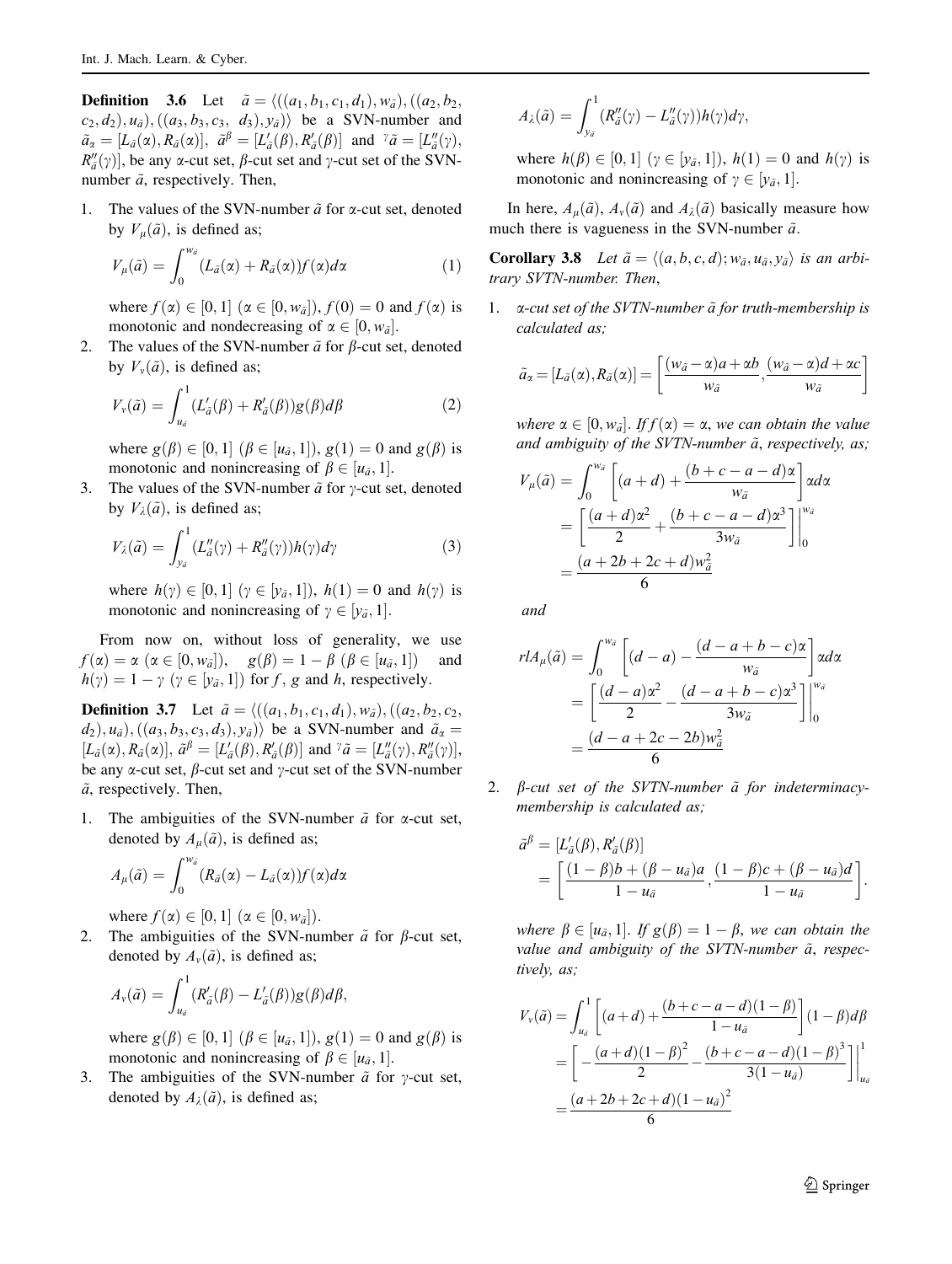**Definition** 3.6 Let  $\tilde{a} = \langle ((a_1, b_1, c_1, d_1), w_{\tilde{a}}), ((a_2, b_2, d_2), (b_1, b_2, d_3) \rangle \rangle$  $(c_2, d_2), u_{\tilde{a}}), ((a_3, b_3, c_3, d_3), y_{\tilde{a}})$  be a SVN-number and  $\tilde{a}_{\alpha} = [L_{\tilde{a}}(\alpha), R_{\tilde{a}}(\alpha)], \quad \tilde{a}^{\beta} = [L'_{\tilde{a}}(\beta), R'_{\tilde{a}}(\beta)]$  and  ${}^{\gamma}\tilde{a} = [L''_{\tilde{a}}(\gamma),$ <br> $B''(\gamma)$  be any  $\alpha$  cut set  $\beta$  cut set and y cut set of the SVN  $R_{\alpha}^{\prime\prime}(\gamma)$ , be any  $\alpha$ -cut set,  $\beta$ -cut set and  $\gamma$ -cut set of the SVN-<br>number  $\tilde{\alpha}$  respectively. Then number  $\tilde{a}$ , respectively. Then,

1. The values of the SVN-number  $\tilde{a}$  for  $\alpha$ -cut set, denoted by  $V_{\mu}(\tilde{a})$ , is defined as;

$$
V_{\mu}(\tilde{a}) = \int_0^{w_{\tilde{a}}} (L_{\tilde{a}}(\alpha) + R_{\tilde{a}}(\alpha)) f(\alpha) d\alpha \tag{1}
$$

where  $f(\alpha) \in [0, 1]$  ( $\alpha \in [0, w_{\bar{a}}]$ ),  $f(0) = 0$  and  $f(\alpha)$  is<br>monotonic and nondecreasing of  $\alpha \in [0, w_{\alpha}]$ monotonic and nondecreasing of  $\alpha \in [0, w_{\tilde{a}}]$ .<br>The values of the SVN number  $\tilde{\alpha}$  for  $\beta$  cut set

2. The values of the SVN-number  $\tilde{a}$  for  $\beta$ -cut set, denoted by  $V_{\nu}(\tilde{a})$ , is defined as;

$$
V_{\nu}(\tilde{a}) = \int_{u_{\tilde{a}}}^{1} (L'_{\tilde{a}}(\beta) + R'_{\tilde{a}}(\beta)) g(\beta) d\beta \tag{2}
$$

where  $g(\beta) \in [0, 1]$   $(\beta \in [u_{\tilde{a}}, 1]), g(1) = 0$  and  $g(\beta)$  is<br>monotonic and nonincreasing of  $\beta \in [u_{\tilde{a}}, 1]$ monotonic and nonincreasing of  $\beta \in [u_{\tilde{a}}, 1].$ <br>The values of the SVN number  $\tilde{\alpha}$  for y cut set

3. The values of the SVN-number  $\tilde{a}$  for y-cut set, denoted by  $V_1(\tilde{a})$ , is defined as;

$$
V_{\lambda}(\tilde{a}) = \int_{y_{\tilde{a}}}^{1} (L''_{\tilde{a}}(\gamma) + R''_{\tilde{a}}(\gamma)) h(\gamma) d\gamma
$$
\n(3)

where  $h(\gamma) \in [0, 1]$  ( $\gamma \in [\gamma_a, 1]$ ),  $h(1) = 0$  and  $h(\gamma)$  is<br>monotonic and nonincreasing of  $\gamma \in [\gamma_a, 1]$ monotonic and nonincreasing of  $\gamma \in [y_{\tilde{a}}, 1].$ 

From now on, without loss of generality, we use  $f(\alpha) = \alpha \ (\alpha \in [0, w_{\tilde{a}}]), \quad g(\beta) = 1 - \beta \ (\beta \in [u_{\tilde{a}}, 1])$ <br>  $h(\alpha) = 1 - \alpha \ (\alpha \in [u_{\tilde{a}}, 1])$  for f, a and h, respective and  $h(\gamma) = 1 - \gamma \ (\gamma \in [y_{\tilde{a}}, 1]) \text{ for } f, g \text{ and } h, \text{ respectively.}$ 

**Definition 3.7** Let  $\tilde{a} = \langle ((a_1, b_1, c_1, d_1), w_{\tilde{a}}), ((a_2, b_2, c_2, d_1), w_{\tilde{a}}) \rangle$  $(d_2), u_{\tilde{a}}), ((a_3, b_3, c_3, d_3), y_{\tilde{a}})$  be a SVN-number and  $\tilde{a}_{\alpha} =$  $[L_{\tilde{a}}(\alpha), R_{\tilde{a}}(\alpha)], \tilde{a}^{\beta} = [L'_{\tilde{a}}(\beta), R'_{\tilde{a}}(\beta)]$  and  ${}^{\gamma}\tilde{a} = [L''_{\tilde{a}}(\gamma), R''_{\tilde{a}}(\gamma)],$ <br>be any  $\alpha$  cut set  $\beta$  cut set and  $\gamma$  cut set of the SVN number be any  $\alpha$ -cut set,  $\beta$ -cut set and  $\gamma$ -cut set of the SVN-number  $\tilde{a}$ , respectively. Then,

1. The ambiguities of the SVN-number  $\tilde{a}$  for  $\alpha$ -cut set, denoted by  $A_u(\tilde{a})$ , is defined as;

$$
A_{\mu}(\tilde{a}) = \int_0^{w_{\tilde{a}}} (R_{\tilde{a}}(\alpha) - L_{\tilde{a}}(\alpha)) f(\alpha) d\alpha
$$

where  $f(\alpha) \in [0, 1]$   $(\alpha \in [0, w_{\tilde{\alpha}}]).$ <br>The ambiguities of the SVN number

2. The ambiguities of the SVN-number  $\tilde{a}$  for  $\beta$ -cut set, denoted by  $A_{\nu}(\tilde{a})$ , is defined as;

$$
A_{\nu}(\tilde{a}) = \int_{u_{\tilde{a}}}^{1} (R'_{\tilde{a}}(\beta) - L'_{\tilde{a}}(\beta)) g(\beta) d\beta,
$$

where  $g(\beta) \in [0, 1]$   $(\beta \in [u_{\tilde{a}}, 1]), g(1) = 0$  and  $g(\beta)$  is<br>monotonic and nonincreasing of  $\beta \in [u_{\tilde{a}}, 1]$ monotonic and nonincreasing of  $\beta \in [u_{\tilde{a}}, 1]$ .<br>The ambiguities of the SVN number  $\tilde{a}$  for

3. The ambiguities of the SVN-number  $\tilde{a}$  for y-cut set, denoted by  $A_{\lambda}(\tilde{a})$ , is defined as;

$$
A_{\lambda}(\tilde{a})=\int_{y_{\tilde{a}}}^{1}(R''_{\tilde{a}}(\gamma)-L''_{\tilde{a}}(\gamma))h(\gamma)d\gamma,
$$

where  $h(\beta) \in [0, 1]$  ( $\gamma \in [y_{\tilde{a}}, 1]$ ),  $h(1) = 0$  and  $h(\gamma)$  is<br>monotonic and nonincreasing of  $\gamma \in [y_{\tilde{a}}, 1]$ monotonic and nonincreasing of  $\gamma \in [y_{\tilde{a}}, 1]$ .

In here,  $A_{\mu}(\tilde{a})$ ,  $A_{\nu}(\tilde{a})$  and  $A_{\lambda}(\tilde{a})$  basically measure how much there is vagueness in the SVN-number  $\tilde{a}$ .

**Corollary 3.8** Let  $\tilde{a} = \langle (a, b, c, d); w_{\tilde{a}}, u_{\tilde{a}}, y_{\tilde{a}} \rangle$  is an arbitrary SVTN-number. Then,

1.  $\alpha$ -cut set of the SVTN-number  $\tilde{a}$  for truth-membership is calculated as;

$$
\tilde{a}_{\alpha} = [L_{\tilde{a}}(\alpha), R_{\tilde{a}}(\alpha)] = \left[\frac{(w_{\tilde{a}} - \alpha)a + \alpha b}{w_{\tilde{a}}}, \frac{(w_{\tilde{a}} - \alpha)d + \alpha c}{w_{\tilde{a}}}\right]
$$

where  $\alpha \in [0, w_{\tilde{a}}]$ . If  $f(\alpha) = \alpha$ , we can obtain the value<br>and ambiguity of the SVTN number  $\tilde{a}$ , respectively as: and ambiguity of the SVTN-number  $\tilde{a}$ , respectively, as;

$$
V_{\mu}(\tilde{a}) = \int_0^{w_{\tilde{a}}} \left[ (a+d) + \frac{(b+c-a-d)\alpha}{w_{\tilde{a}}} \right] \alpha d\alpha
$$
  
= 
$$
\left[ \frac{(a+d)\alpha^2}{2} + \frac{(b+c-a-d)\alpha^3}{3w_{\tilde{a}}} \right] \Big|_0^{w_{\tilde{a}}}
$$
  
= 
$$
\frac{(a+2b+2c+d)w_{\tilde{a}}^2}{6}
$$

and

$$
r l A_{\mu}(\tilde{a}) = \int_0^{w_{\tilde{a}}} \left[ (d-a) - \frac{(d-a+b-c)\alpha}{w_{\tilde{a}}} \right] \alpha d\alpha
$$
  
= 
$$
\left[ \frac{(d-a)\alpha^2}{2} - \frac{(d-a+b-c)\alpha^3}{3w_{\tilde{a}}} \right] \Big|_0^{w_{\tilde{a}}}
$$
  
= 
$$
\frac{(d-a+2c-2b)w_{\tilde{a}}^2}{6}
$$

2.  $\beta$ -cut set of the SVTN-number  $\tilde{a}$  for indeterminacymembership is calculated as;

$$
\tilde{a}^{\beta} = [L'_{\tilde{a}}(\beta), R'_{\tilde{a}}(\beta)]
$$
  
= 
$$
\left[\frac{(1-\beta)b + (\beta - u_{\tilde{a}})a}{1 - u_{\tilde{a}}}, \frac{(1-\beta)c + (\beta - u_{\tilde{a}})d}{1 - u_{\tilde{a}}}\right].
$$

where  $\beta \in [u_{\tilde{a}}, 1]$ . If  $g(\beta) = 1 - \beta$ , we can obtain the<br>value and ambiguity of the SVTN number  $\tilde{a}$ , respectively value and ambiguity of the SVTN-number  $\tilde{a}$ , respectively, as;

$$
V_v(\tilde{a}) = \int_{u_{\tilde{a}}}^{1} \left[ (a+d) + \frac{(b+c-a-d)(1-\beta)}{1-u_{\tilde{a}}} \right] (1-\beta)d\beta
$$
  
= 
$$
\left[ -\frac{(a+d)(1-\beta)^2}{2} - \frac{(b+c-a-d)(1-\beta)^3}{3(1-u_{\tilde{a}})} \right] \Big|_{u_{\tilde{a}}}^{1}
$$
  
= 
$$
\frac{(a+2b+2c+d)(1-u_{\tilde{a}})^2}{6}
$$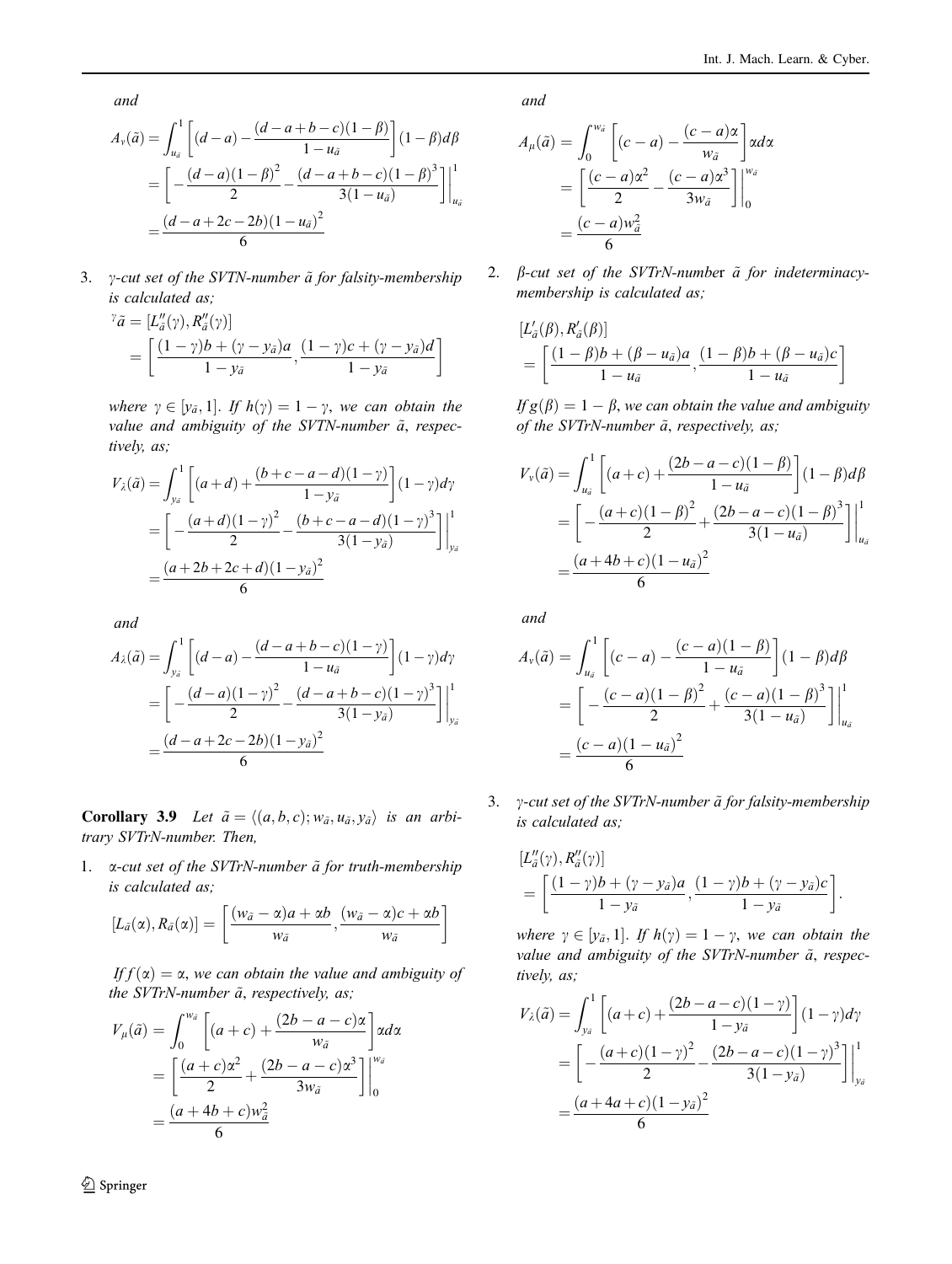and

$$
A_{\nu}(\tilde{a}) = \int_{u_{\tilde{a}}}^{1} \left[ (d-a) - \frac{(d-a+b-c)(1-\beta)}{1-u_{\tilde{a}}} \right] (1-\beta) d\beta
$$
  
= 
$$
\left[ -\frac{(d-a)(1-\beta)^2}{2} - \frac{(d-a+b-c)(1-\beta)^3}{3(1-u_{\tilde{a}})} \right] \Big|_{u_{\tilde{a}}}^{1}
$$
  
= 
$$
\frac{(d-a+2c-2b)(1-u_{\tilde{a}})^2}{6}
$$

3.  $\gamma$ -cut set of the SVTN-number  $\tilde{a}$  for falsity-membership is calculated as;

$$
\begin{aligned} \n\tilde{\mathbf{a}} &= \left[ L_d''(\gamma), R_{\tilde{a}}''(\gamma) \right] \\ \n&= \left[ \frac{(1-\gamma)b + (\gamma - y_{\tilde{a}})a}{1 - y_{\tilde{a}}}, \frac{(1-\gamma)c + (\gamma - y_{\tilde{a}})d}{1 - y_{\tilde{a}}} \right] \n\end{aligned}
$$

where  $\gamma \in [\gamma_{\tilde{a}}, 1]$ . If  $h(\gamma) = 1 - \gamma$ , we can obtain the<br>value and ambiquity of the SVTN number  $\tilde{a}$ , respectively value and ambiguity of the SVTN-number  $\tilde{a}$ , respectively, as;

$$
V_{\lambda}(\tilde{a}) = \int_{y_{\tilde{a}}}^{1} \left[ (a+d) + \frac{(b+c-a-d)(1-\gamma)}{1-y_{\tilde{a}}} \right] (1-\gamma)d\gamma
$$
  
= 
$$
\left[ -\frac{(a+d)(1-\gamma)^2}{2} - \frac{(b+c-a-d)(1-\gamma)^3}{3(1-y_{\tilde{a}})} \right] \Big|_{y_{\tilde{a}}}^{1}
$$
  
= 
$$
\frac{(a+2b+2c+d)(1-y_{\tilde{a}})^2}{6}
$$

and

$$
A_{\lambda}(\tilde{a}) = \int_{y_{\tilde{a}}}^{1} \left[ (d-a) - \frac{(d-a+b-c)(1-\gamma)}{1-u_{\tilde{a}}} \right] (1-\gamma)d\gamma
$$
  
= 
$$
\left[ -\frac{(d-a)(1-\gamma)^{2}}{2} - \frac{(d-a+b-c)(1-\gamma)^{3}}{3(1-y_{\tilde{a}})} \right] \Big|_{y_{\tilde{a}}}^{1}
$$
  
= 
$$
\frac{(d-a+2c-2b)(1-y_{\tilde{a}})^{2}}{6}
$$

**Corollary 3.9** Let  $\tilde{a} = \langle (a, b, c); w_{\tilde{a}}, u_{\tilde{a}}, y_{\tilde{a}} \rangle$  is an arbitrary SVTrN-number. Then,

1.  $\alpha$ -cut set of the SVTrN-number  $\tilde{a}$  for truth-membership is calculated as;

$$
[L_{\tilde{a}}(\alpha), R_{\tilde{a}}(\alpha)] = \left[\frac{(w_{\tilde{a}}-\alpha)a + \alpha b}{w_{\tilde{a}}}, \frac{(w_{\tilde{a}}-\alpha)c + \alpha b}{w_{\tilde{a}}}\right]
$$

If  $f(\alpha) = \alpha$ , we can obtain the value and ambiguity of the SVTrN-number  $\tilde{a}$ , respectively, as;

$$
V_{\mu}(\tilde{a}) = \int_0^{w_{\tilde{a}}} \left[ (a+c) + \frac{(2b-a-c)\alpha}{w_{\tilde{a}}} \right] \alpha d\alpha
$$
  
= 
$$
\left[ \frac{(a+c)\alpha^2}{2} + \frac{(2b-a-c)\alpha^3}{3w_{\tilde{a}}} \right] \Big|_0^{w_{\tilde{a}}}
$$
  
= 
$$
\frac{(a+4b+c)w_{\tilde{a}}^2}{6}
$$

and

$$
A_{\mu}(\tilde{a}) = \int_0^{w_{\tilde{a}}} \left[ (c-a) - \frac{(c-a)\alpha}{w_{\tilde{a}}} \right] \alpha d\alpha
$$
  
= 
$$
\left[ \frac{(c-a)\alpha^2}{2} - \frac{(c-a)\alpha^3}{3w_{\tilde{a}}} \right] \Big|_0^{w_{\tilde{a}}}
$$
  
= 
$$
\frac{(c-a)w_{\tilde{a}}^2}{6}
$$

2.  $\beta$ -cut set of the SVTrN-number  $\tilde{a}$  for indeterminacymembership is calculated as;

$$
[L'_{\tilde{a}}(\beta), R'_{\tilde{a}}(\beta)]
$$
  
= 
$$
\left[\frac{(1-\beta)b + (\beta - u_{\tilde{a}})a}{1 - u_{\tilde{a}}}, \frac{(1-\beta)b + (\beta - u_{\tilde{a}})c}{1 - u_{\tilde{a}}}\right]
$$

If  $g(\beta) = 1 - \beta$ , we can obtain the value and ambiguity of the SVTrN-number  $\tilde{a}$ , respectively, as;

$$
V_{\nu}(\tilde{a}) = \int_{u_{\tilde{a}}}^{1} \left[ (a+c) + \frac{(2b-a-c)(1-\beta)}{1-u_{\tilde{a}}} \right] (1-\beta) d\beta
$$
  
= 
$$
\left[ -\frac{(a+c)(1-\beta)^2}{2} + \frac{(2b-a-c)(1-\beta)^3}{3(1-u_{\tilde{a}})} \right] \Big|_{u_{\tilde{a}}}^{1}
$$
  
= 
$$
\frac{(a+4b+c)(1-u_{\tilde{a}})^2}{6}
$$

and

$$
A_{\nu}(\tilde{a}) = \int_{u_{\tilde{a}}}^{1} \left[ (c - a) - \frac{(c - a)(1 - \beta)}{1 - u_{\tilde{a}}} \right] (1 - \beta) d\beta
$$
  
= 
$$
\left[ - \frac{(c - a)(1 - \beta)^2}{2} + \frac{(c - a)(1 - \beta)^3}{3(1 - u_{\tilde{a}})} \right] \Big|_{u_{\tilde{a}}}^{1}
$$
  
= 
$$
\frac{(c - a)(1 - u_{\tilde{a}})^2}{6}
$$

3.  $\gamma$ -cut set of the SVTrN-number  $\tilde{a}$  for falsity-membership is calculated as;

$$
[L_{\tilde{a}}''(\gamma), R_{\tilde{a}}''(\gamma)]
$$
  
= 
$$
\left[\frac{(1-\gamma)b+(\gamma-y_{\tilde{a}})a}{1-y_{\tilde{a}}}, \frac{(1-\gamma)b+(\gamma-y_{\tilde{a}})c}{1-y_{\tilde{a}}}\right].
$$

where  $\gamma \in [\gamma_{\tilde{a}}, 1]$ . If  $h(\gamma) = 1 - \gamma$ , we can obtain the<br>value and ambiguity of the SVTrN number  $\tilde{a}$  respectively value and ambiguity of the SVTrN-number  $\tilde{a}$ , respectively, as;

$$
V_{\lambda}(\tilde{a}) = \int_{y_{\tilde{a}}}^{1} \left[ (a+c) + \frac{(2b-a-c)(1-\gamma)}{1-y_{\tilde{a}}} \right] (1-\gamma)d\gamma
$$
  
= 
$$
\left[ -\frac{(a+c)(1-\gamma)^{2}}{2} - \frac{(2b-a-c)(1-\gamma)^{3}}{3(1-y_{\tilde{a}})} \right] \Big|_{y_{\tilde{a}}}^{1}
$$
  
= 
$$
\frac{(a+4a+c)(1-y_{\tilde{a}})^{2}}{6}
$$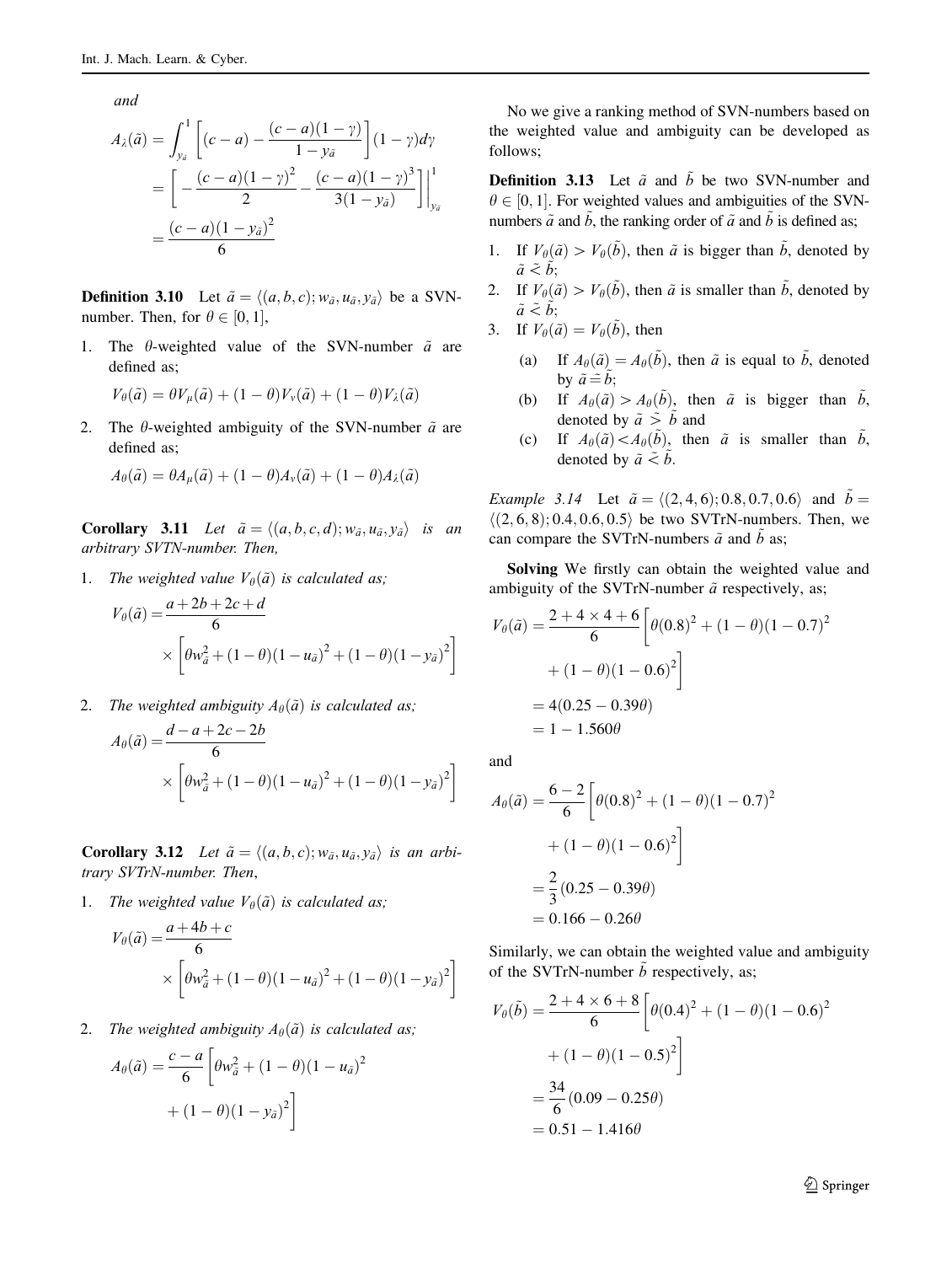and

$$
A_{\lambda}(\tilde{a}) = \int_{y_{\tilde{a}}}^{1} \left[ (c - a) - \frac{(c - a)(1 - \gamma)}{1 - y_{\tilde{a}}} \right] (1 - \gamma) d\gamma
$$
  
= 
$$
\left[ - \frac{(c - a)(1 - \gamma)^2}{2} - \frac{(c - a)(1 - \gamma)^3}{3(1 - y_{\tilde{a}})} \right] \Big|_{y_{\tilde{a}}}^{1}
$$
  
= 
$$
\frac{(c - a)(1 - y_{\tilde{a}})^2}{6}
$$

**Definition 3.10** Let  $\tilde{a} = \langle (a, b, c); w_{\tilde{a}}, u_{\tilde{a}}, v_{\tilde{a}} \rangle$  be a SVNnumber. Then, for  $\theta \in [0, 1]$ ,

1. The  $\theta$ -weighted value of the SVN-number  $\tilde{a}$  are defined as;

$$
V_{\theta}(\tilde{a}) = \theta V_{\mu}(\tilde{a}) + (1 - \theta)V_{\nu}(\tilde{a}) + (1 - \theta)V_{\lambda}(\tilde{a})
$$

2. The  $\theta$ -weighted ambiguity of the SVN-number  $\tilde{a}$  are defined as;

$$
A_{\theta}(\tilde{a}) = \theta A_{\mu}(\tilde{a}) + (1 - \theta)A_{\nu}(\tilde{a}) + (1 - \theta)A_{\lambda}(\tilde{a})
$$

**Corollary 3.11** Let  $\tilde{a} = \langle (a, b, c, d); w_{\tilde{a}}, u_{\tilde{a}}, y_{\tilde{a}} \rangle$  is an arbitrary SVTN-number. Then,

1. The weighted value  $V_{\theta}(\tilde{a})$  is calculated as;

$$
V_{\theta}(\tilde{a}) = \frac{a + 2b + 2c + d}{6}
$$
  
 
$$
\times \left[ \theta w_{\tilde{a}}^2 + (1 - \theta)(1 - u_{\tilde{a}})^2 + (1 - \theta)(1 - y_{\tilde{a}})^2 \right]
$$

2. The weighted ambiguity  $A_{\theta}(\tilde{a})$  is calculated as;

$$
A_{\theta}(\tilde{a}) = \frac{d - a + 2c - 2b}{6}
$$
  
 
$$
\times \left[ \theta w_{\tilde{a}}^2 + (1 - \theta)(1 - u_{\tilde{a}})^2 + (1 - \theta)(1 - y_{\tilde{a}})^2 \right]
$$

**Corollary 3.12** Let  $\tilde{a} = \langle (a, b, c); w_{\tilde{a}}, u_{\tilde{a}}, y_{\tilde{a}} \rangle$  is an arbitrary SVTrN-number. Then,

1. The weighted value  $V_{\theta}(\tilde{a})$  is calculated as;

$$
V_{\theta}(\tilde{a}) = \frac{a + 4b + c}{6}
$$
  
 
$$
\times \left[ \theta w_{\tilde{a}}^2 + (1 - \theta)(1 - u_{\tilde{a}})^2 + (1 - \theta)(1 - y_{\tilde{a}})^2 \right]
$$

2. The weighted ambiguity  $A_{\theta}(\tilde{a})$  is calculated as;

$$
A_{\theta}(\tilde{a}) = \frac{c - a}{6} \left[ \theta w_{\tilde{a}}^2 + (1 - \theta)(1 - u_{\tilde{a}})^2 + (1 - \theta)(1 - y_{\tilde{a}})^2 \right]
$$

No we give a ranking method of SVN-numbers based on the weighted value and ambiguity can be developed as follows;

**Definition 3.13** Let  $\tilde{a}$  and  $\tilde{b}$  be two SVN-number and  $\theta \in [0, 1]$ . For weighted values and ambiguities of the SVN-<br>numbers  $\tilde{\theta}$  and  $\tilde{b}$  the ranking order of  $\tilde{\theta}$  and  $\tilde{b}$  is defined as: numbers  $\tilde{a}$  and  $\tilde{b}$ , the ranking order of  $\tilde{a}$  and  $b$  is defined as;

- 1. If  $V_{\theta}(\tilde{a}) > V_{\theta}(\tilde{b})$ , then  $\tilde{a}$  is bigger than  $\tilde{b}$ , denoted by  $\tilde{a} \leq b$ ;
- 2. If  $V_{\theta}(\tilde{a}) > V_{\theta}(\tilde{b})$ , then  $\tilde{a}$  is smaller than  $\tilde{b}$ , denoted by  $\tilde{a} \leq b;$

3. If 
$$
V_{\theta}(\tilde{a}) = V_{\theta}(\tilde{b})
$$
, then

- (a) If  $A_{\theta}(\tilde{a}) = A_{\theta}(\tilde{b})$ , then  $\tilde{a}$  is equal to  $\tilde{b}$ , denoted by  $\tilde{a} \stackrel{\sim}{=} \tilde{b}$ ;
- (b) If  $A_{\theta}(\tilde{a}) > A_{\theta}(\tilde{b})$ , then  $\tilde{a}$  is bigger than  $\tilde{b}$ , denoted by  $\tilde{a} \stackrel{\sim}{\geq} b$  and
- (c) If  $A_{\theta}(\tilde{a}) < A_{\theta}(\tilde{b})$ , then  $\tilde{a}$  is smaller than  $\tilde{b}$ , denoted by  $\tilde{a} \leq b$ .

Example 3.14 Let  $\tilde{a} = \langle (2,4,6); 0.8, 0.7, 0.6 \rangle$  and  $\tilde{b} =$  $\langle (2, 6, 8); 0.4, 0.6, 0.5 \rangle$  be two SVTrN-numbers. Then, we can compare the SVTrN-numbers  $\tilde{a}$  and  $\tilde{b}$  as;

Solving We firstly can obtain the weighted value and ambiguity of the SVTrN-number  $\tilde{a}$  respectively, as;

$$
V_{\theta}(\tilde{a}) = \frac{2 + 4 \times 4 + 6}{6} \left[ \theta(0.8)^2 + (1 - \theta)(1 - 0.7)^2 + (1 - \theta)(1 - 0.6)^2 \right]
$$
  
= 4(0.25 - 0.39\theta)  
= 1 - 1.560\theta

and

$$
A_{\theta}(\tilde{a}) = \frac{6-2}{6} \left[ \theta(0.8)^2 + (1 - \theta)(1 - 0.7)^2 + (1 - \theta)(1 - 0.6)^2 \right]
$$
  
=  $\frac{2}{3} (0.25 - 0.39\theta)$   
= 0.166 - 0.26 $\theta$ 

Similarly, we can obtain the weighted value and ambiguity of the SVTrN-number  $\ddot{b}$  respectively, as;

$$
V_{\theta}(\tilde{b}) = \frac{2 + 4 \times 6 + 8}{6} \left[ \theta(0.4)^2 + (1 - \theta)(1 - 0.6)^2 + (1 - \theta)(1 - 0.5)^2 \right]
$$
  
=  $\frac{34}{6} (0.09 - 0.25\theta)$   
= 0.51 - 1.416 $\theta$ 

<sup>2</sup> Springer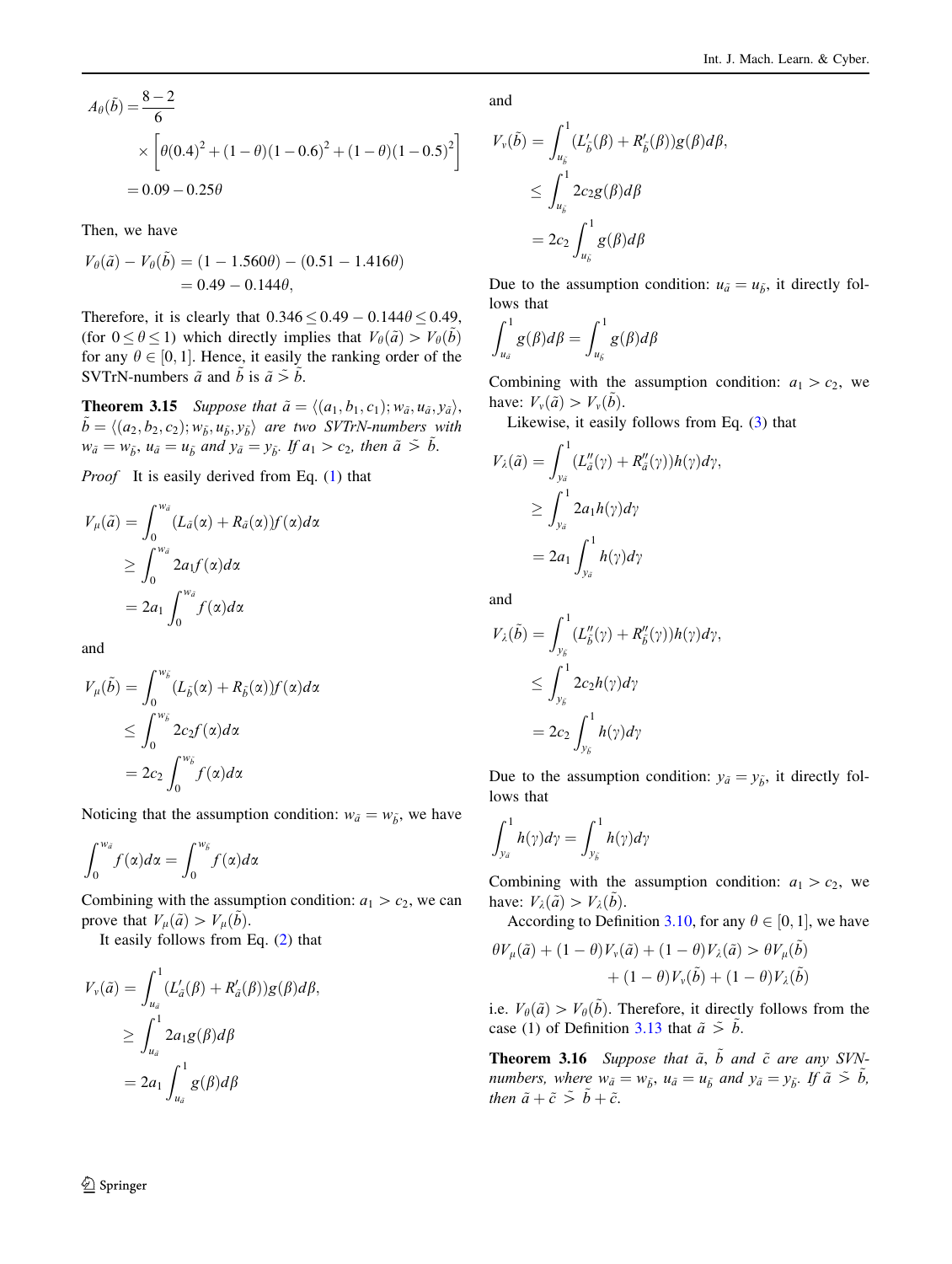$$
A_{\theta}(\tilde{b}) = \frac{8-2}{6}
$$
  
 
$$
\times \left[ \theta(0.4)^{2} + (1-\theta)(1-0.6)^{2} + (1-\theta)(1-0.5)^{2} \right]
$$
  
= 0.09 - 0.25 $\theta$ 

Then, we have

$$
V_{\theta}(\tilde{a}) - V_{\theta}(\tilde{b}) = (1 - 1.560\theta) - (0.51 - 1.416\theta)
$$
  
= 0.49 - 0.144\theta,

Therefore, it is clearly that  $0.346 \le 0.49 - 0.144\theta \le 0.49$ , (for  $0 \le \theta \le 1$ ) which directly implies that  $V_{\theta}(\tilde{a}) > V_{\theta}(b)$ for any  $\theta \in [0, 1]$ . Hence, it easily the ranking order of the SVTrN numbers  $\tilde{a}$  and  $\tilde{b}$  is  $\tilde{a} \leq \tilde{b}$ SVTrN-numbers  $\tilde{a}$  and  $\tilde{b}$  is  $\tilde{a} \tilde{b}$ .

**Theorem 3.15** Suppose that  $\tilde{a} = \langle (a_1, b_1, c_1); w_{\tilde{a}}, u_{\tilde{a}}, y_{\tilde{a}} \rangle$ ,  $\tilde{b} = \langle (a_2, b_2, c_2); w_{\tilde{b}}, u_{\tilde{b}}, y_{\tilde{b}} \rangle$  are two SVTrN-numbers with  $w_{\tilde{a}} = w_{\tilde{b}}, u_{\tilde{a}} = u_{\tilde{b}}$  and  $y_{\tilde{a}} = y_{\tilde{b}}$ . If  $a_1 > c_2$ , then  $\tilde{a} \tilde{b}$ .

Proof It is easily derived from Eq. (1) that

$$
V_{\mu}(\tilde{a}) = \int_0^{w_{\tilde{a}}} (L_{\tilde{a}}(\alpha) + R_{\tilde{a}}(\alpha)) f(\alpha) d\alpha
$$
  
\n
$$
\geq \int_0^{w_{\tilde{a}}} 2a_1 f(\alpha) d\alpha
$$
  
\n
$$
= 2a_1 \int_0^{w_{\tilde{a}}} f(\alpha) d\alpha
$$

and

$$
V_{\mu}(\tilde{b}) = \int_0^{w_{\tilde{b}}} (L_{\tilde{b}}(\alpha) + R_{\tilde{b}}(\alpha)) f(\alpha) d\alpha
$$
  

$$
\leq \int_0^{w_{\tilde{b}}} 2c_2 f(\alpha) d\alpha
$$
  

$$
= 2c_2 \int_0^{w_{\tilde{b}}} f(\alpha) d\alpha
$$

Noticing that the assumption condition:  $w_{\tilde{a}} = w_{\tilde{b}}$ , we have

$$
\int_0^{w_{\tilde{a}}} f(\alpha) d\alpha = \int_0^{w_{\tilde{b}}} f(\alpha) d\alpha
$$

Combining with the assumption condition:  $a_1 > c_2$ , we can prove that  $V_{\mu}(\tilde{a}) > V_{\mu}(\tilde{b})$ .

It easily follows from Eq. (2) that

$$
V_{\nu}(\tilde{a}) = \int_{u_{\tilde{a}}}^{1} (L'_{\tilde{a}}(\beta) + R'_{\tilde{a}}(\beta)) g(\beta) d\beta,
$$
  
\n
$$
\geq \int_{u_{\tilde{a}}}^{1} 2a_1 g(\beta) d\beta
$$
  
\n
$$
= 2a_1 \int_{u_{\tilde{a}}}^{1} g(\beta) d\beta
$$

and

$$
V_{\nu}(\tilde{b}) = \int_{u_{\tilde{b}}}^{1} (L'_{\tilde{b}}(\beta) + R'_{\tilde{b}}(\beta)) g(\beta) d\beta,
$$
  
\n
$$
\leq \int_{u_{\tilde{b}}}^{1} 2c_2 g(\beta) d\beta
$$
  
\n
$$
= 2c_2 \int_{u_{\tilde{b}}}^{1} g(\beta) d\beta
$$

Due to the assumption condition:  $u_{\tilde{a}} = u_{\tilde{b}}$ , it directly follows that

$$
\int_{u_{\tilde{a}}}^{1} g(\beta) d\beta = \int_{u_{\tilde{b}}}^{1} g(\beta) d\beta
$$

Combining with the assumption condition:  $a_1 > c_2$ , we have:  $V_v(\tilde{a}) > V_v(\tilde{b})$ .

Likewise, it easily follows from Eq. (3) that

$$
V_{\lambda}(\tilde{a}) = \int_{y_{\tilde{a}}}^{1} (L''_{\tilde{a}}(\gamma) + R''_{\tilde{a}}(\gamma)) h(\gamma) d\gamma,
$$
  
\n
$$
\geq \int_{y_{\tilde{a}}}^{1} 2a_1 h(\gamma) d\gamma
$$
  
\n
$$
= 2a_1 \int_{y_{\tilde{a}}}^{1} h(\gamma) d\gamma
$$

and

$$
V_{\lambda}(\tilde{b}) = \int_{y_{\tilde{b}}}^{1} (L''_{\tilde{b}}(\gamma) + R''_{\tilde{b}}(\gamma)) h(\gamma) d\gamma,
$$
  
\n
$$
\leq \int_{y_{\tilde{b}}}^{1} 2c_2 h(\gamma) d\gamma
$$
  
\n
$$
= 2c_2 \int_{y_{\tilde{b}}}^{1} h(\gamma) d\gamma
$$

Due to the assumption condition:  $y_{\tilde{a}} = y_{\tilde{b}}$ , it directly follows that

$$
\int_{y_{\tilde{a}}}^{1} h(\gamma) d\gamma = \int_{y_{\tilde{b}}}^{1} h(\gamma) d\gamma
$$

Combining with the assumption condition:  $a_1 > c_2$ , we have:  $V_{\lambda}(\tilde{a}) > V_{\lambda}(b)$ .

According to Definition 3.10, for any  $\theta \in [0, 1]$ , we have

$$
\theta V_{\mu}(\tilde{a}) + (1 - \theta) V_{\nu}(\tilde{a}) + (1 - \theta) V_{\lambda}(\tilde{a}) > \theta V_{\mu}(\tilde{b}) + (1 - \theta) V_{\nu}(\tilde{b}) + (1 - \theta) V_{\lambda}(\tilde{b})
$$

i.e.  $V_{\theta}(\tilde{a}) > V_{\theta}(\tilde{b})$ . Therefore, it directly follows from the case (1) of Definition 3.13 that  $\tilde{a} \sim \tilde{b}$ .

**Theorem 3.16** Suppose that  $\tilde{a}$ ,  $\tilde{b}$  and  $\tilde{c}$  are any SVNnumbers, where  $w_{\tilde{a}} = w_{\tilde{b}}$ ,  $u_{\tilde{a}} = u_{\tilde{b}}$  and  $y_{\tilde{a}} = y_{\tilde{b}}$ . If  $\tilde{a} \leq \tilde{b}$ , then  $\tilde{a} + \tilde{c} > \tilde{b} + \tilde{c}$ .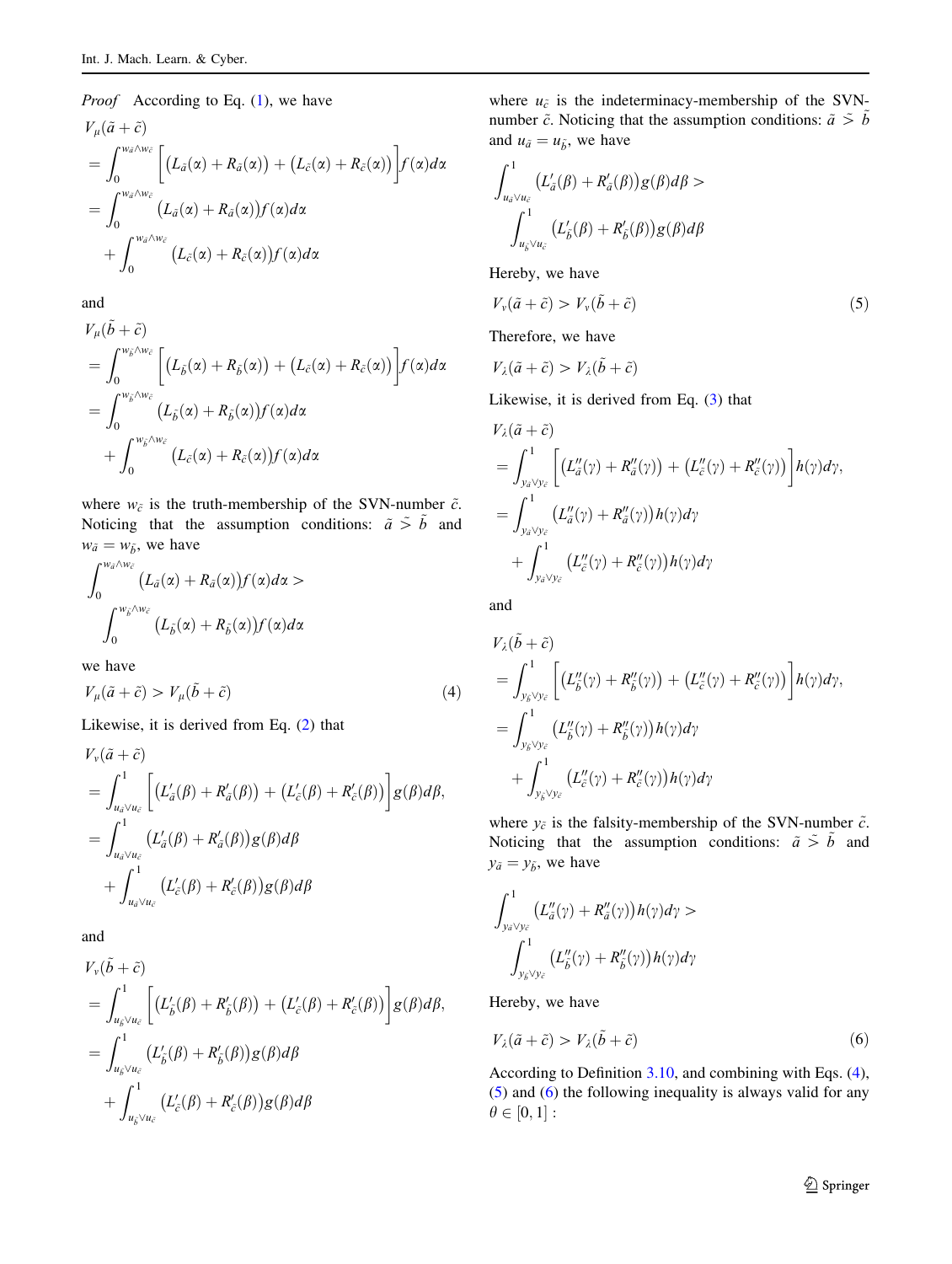#### *Proof* According to Eq. (1), we have

$$
V_{\mu}(\tilde{a} + \tilde{c})
$$
  
= 
$$
\int_0^{w_{\tilde{a}} \wedge w_{\tilde{c}}} \left[ (L_{\tilde{a}}(\alpha) + R_{\tilde{a}}(\alpha)) + (L_{\tilde{c}}(\alpha) + R_{\tilde{c}}(\alpha)) \right] f(\alpha) d\alpha
$$
  
= 
$$
\int_0^{w_{\tilde{a}} \wedge w_{\tilde{c}}} (L_{\tilde{a}}(\alpha) + R_{\tilde{a}}(\alpha)) f(\alpha) d\alpha
$$
  
+ 
$$
\int_0^{w_{\tilde{a}} \wedge w_{\tilde{c}}} (L_{\tilde{c}}(\alpha) + R_{\tilde{c}}(\alpha)) f(\alpha) d\alpha
$$

and

$$
V_{\mu}(\tilde{b} + \tilde{c})
$$
  
= 
$$
\int_{0}^{w_{\tilde{\delta}} \wedge w_{\tilde{c}}} \left[ (L_{\tilde{\delta}}(\alpha) + R_{\tilde{\delta}}(\alpha)) + (L_{\tilde{c}}(\alpha) + R_{\tilde{c}}(\alpha)) \right] f(\alpha) d\alpha
$$
  
= 
$$
\int_{0}^{w_{\tilde{\delta}} \wedge w_{\tilde{c}}} (L_{\tilde{\delta}}(\alpha) + R_{\tilde{\delta}}(\alpha)) f(\alpha) d\alpha
$$
  
+ 
$$
\int_{0}^{w_{\tilde{\delta}} \wedge w_{\tilde{c}}} (L_{\tilde{c}}(\alpha) + R_{\tilde{c}}(\alpha)) f(\alpha) d\alpha
$$

where  $w_{\tilde{c}}$  is the truth-membership of the SVN-number  $\tilde{c}$ . Noticing that the assumption conditions:  $\tilde{a} \tilde{b}$  and  $w_{\tilde{a}} = w_{\tilde{b}}$ , we have

$$
\int_0^{w_{\tilde{a}}\wedge w_{\tilde{c}}} (L_{\tilde{a}}(\alpha) + R_{\tilde{a}}(\alpha))f(\alpha)d\alpha >
$$

$$
\int_0^{w_{\tilde{b}}\wedge w_{\tilde{c}}} (L_{\tilde{b}}(\alpha) + R_{\tilde{b}}(\alpha))f(\alpha)d\alpha
$$

we have

$$
V_{\mu}(\tilde{a} + \tilde{c}) > V_{\mu}(\tilde{b} + \tilde{c})
$$
\n<sup>(4)</sup>

Likewise, it is derived from Eq. (2) that

$$
V_{\nu}(\tilde{a} + \tilde{c})
$$
  
=  $\int_{u_{\tilde{a}} \vee u_{\tilde{c}}}^{1} \left[ (L'_{\tilde{a}}(\beta) + R'_{\tilde{a}}(\beta)) + (L'_{\tilde{c}}(\beta) + R'_{\tilde{c}}(\beta)) \right] g(\beta) d\beta$ ,  
=  $\int_{u_{\tilde{a}} \vee u_{\tilde{c}}}^{1} (L'_{\tilde{a}}(\beta) + R'_{\tilde{a}}(\beta)) g(\beta) d\beta$   
+  $\int_{u_{\tilde{a}} \vee u_{\tilde{c}}}^{1} (L'_{\tilde{c}}(\beta) + R'_{\tilde{c}}(\beta)) g(\beta) d\beta$ 

and

$$
V_{\nu}(\tilde{b} + \tilde{c})
$$
  
=  $\int_{u_{\tilde{b}}\vee u_{\tilde{c}}}^{1} \left[ (L'_{\tilde{b}}(\beta) + R'_{\tilde{b}}(\beta)) + (L'_{\tilde{c}}(\beta) + R'_{\tilde{c}}(\beta)) \right] g(\beta) d\beta$ ,  
=  $\int_{u_{\tilde{b}}\vee u_{\tilde{c}}}^{1} (L'_{\tilde{b}}(\beta) + R'_{\tilde{b}}(\beta)) g(\beta) d\beta$   
+  $\int_{u_{\tilde{b}}\vee u_{\tilde{c}}}^{1} (L'_{\tilde{c}}(\beta) + R'_{\tilde{c}}(\beta)) g(\beta) d\beta$ 

where  $u_{\tilde{c}}$  is the indeterminacy-membership of the SVNnumber  $\tilde{c}$ . Noticing that the assumption conditions:  $\tilde{a} \sim \tilde{b}$ and  $u_{\tilde{a}} = u_{\tilde{b}}$ , we have

$$
\int_{u_{\tilde{a}}\vee u_{\tilde{c}}}^{1} \left( L'_{\tilde{a}}(\beta) + R'_{\tilde{a}}(\beta) \right) g(\beta) d\beta >
$$

$$
\int_{u_{\tilde{b}}\vee u_{\tilde{c}}}^{1} \left( L'_{\tilde{b}}(\beta) + R'_{\tilde{b}}(\beta) \right) g(\beta) d\beta
$$

Hereby, we have

 $\ddot{\phantom{a}}$ 

$$
V_{\nu}(\tilde{a} + \tilde{c}) > V_{\nu}(\tilde{b} + \tilde{c})
$$
\n<sup>(5)</sup>

Therefore, we have

$$
V_{\lambda}(\tilde{a}+\tilde{c})>V_{\lambda}(\tilde{b}+\tilde{c})
$$

Likewise, it is derived from Eq. (3) that

$$
V_{\lambda}(\tilde{a} + \tilde{c})
$$
  
=  $\int_{y_{\tilde{a}} \vee y_{\tilde{c}}}^{1} \left[ (L''_{\tilde{a}}(\gamma) + R''_{\tilde{a}}(\gamma)) + (L''_{\tilde{c}}(\gamma) + R''_{\tilde{c}}(\gamma)) \right] h(\gamma) d\gamma$ ,  
=  $\int_{y_{\tilde{a}} \vee y_{\tilde{c}}}^{1} (L''_{\tilde{a}}(\gamma) + R''_{\tilde{a}}(\gamma)) h(\gamma) d\gamma$   
+  $\int_{y_{\tilde{a}} \vee y_{\tilde{c}}}^{1} (L''_{\tilde{c}}(\gamma) + R''_{\tilde{c}}(\gamma)) h(\gamma) d\gamma$ 

and

$$
V_{\lambda}(\tilde{b} + \tilde{c})
$$
  
=  $\int_{y_{\tilde{b}} \vee y_{\tilde{c}}}^{1} \left[ (L''_{\tilde{b}}(\gamma) + R''_{\tilde{b}}(\gamma)) + (L''_{\tilde{c}}(\gamma) + R''_{\tilde{c}}(\gamma)) \right] h(\gamma) d\gamma$ ,  
=  $\int_{y_{\tilde{b}} \vee y_{\tilde{c}}}^{1} (L''_{\tilde{b}}(\gamma) + R''_{\tilde{b}}(\gamma)) h(\gamma) d\gamma$   
+  $\int_{y_{\tilde{b}} \vee y_{\tilde{c}}}^{1} (L''_{\tilde{c}}(\gamma) + R''_{\tilde{c}}(\gamma)) h(\gamma) d\gamma$ 

where  $y_{\tilde{c}}$  is the falsity-membership of the SVN-number  $\tilde{c}$ . Noticing that the assumption conditions:  $\tilde{a} \tilde{b}$  and  $y_{\tilde{a}} = y_{\tilde{b}}$ , we have

$$
\int_{y_{\tilde{a}} \vee y_{\tilde{c}}}^{1} \left( L''_{\tilde{a}}(\gamma) + R''_{\tilde{a}}(\gamma) \right) h(\gamma) d\gamma > \int_{y_{\tilde{b}} \vee y_{\tilde{c}}}^{1} \left( L''_{\tilde{b}}(\gamma) + R''_{\tilde{b}}(\gamma) \right) h(\gamma) d\gamma
$$

Hereby, we have

$$
V_{\lambda}(\tilde{a} + \tilde{c}) > V_{\lambda}(\tilde{b} + \tilde{c})
$$
\n<sup>(6)</sup>

According to Definition 3.10, and combining with Eqs. (4), (5) and (6) the following inequality is always valid for any  $\theta \in [0, 1]$ :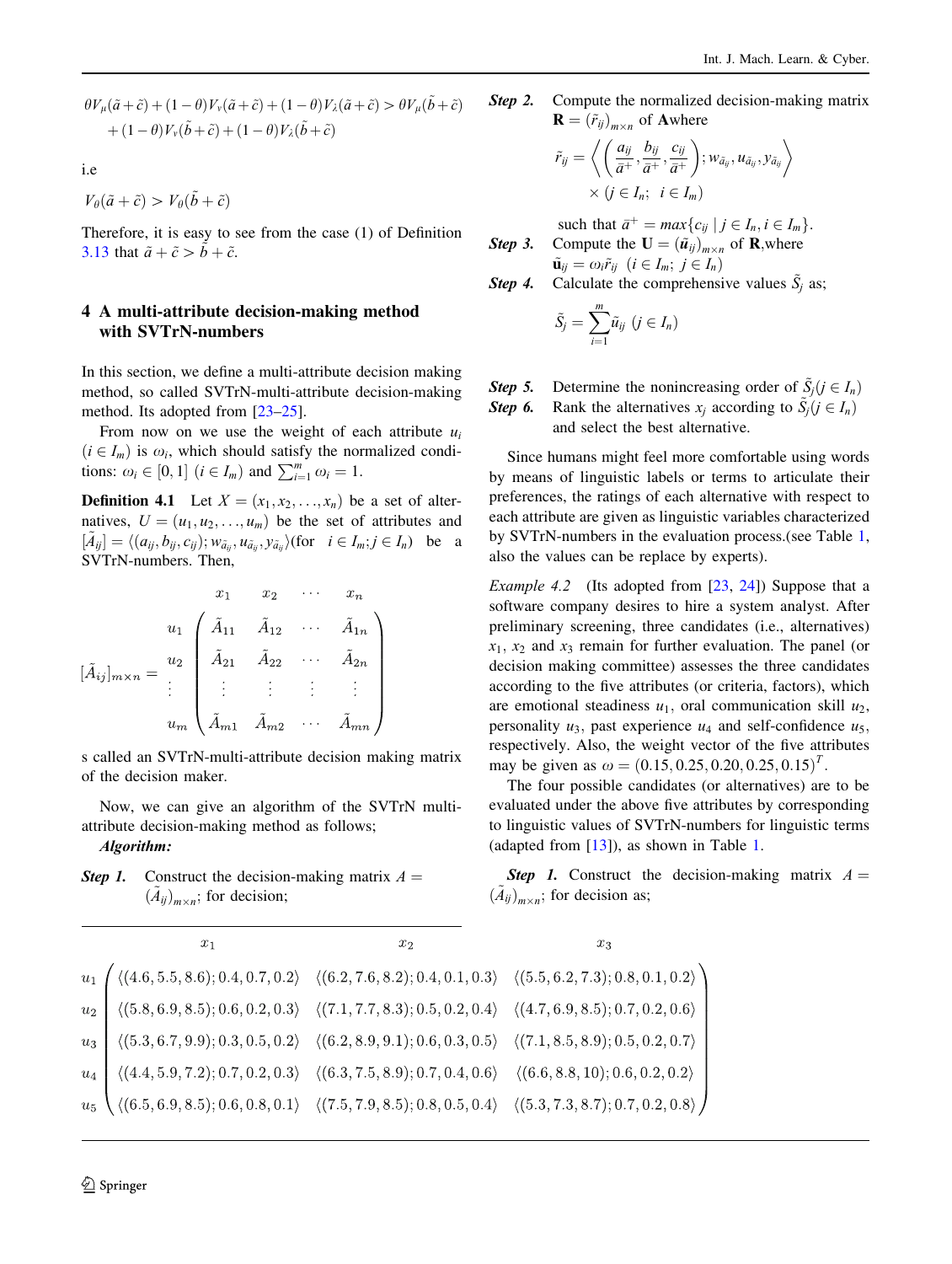$$
\theta V_{\mu}(\tilde{a}+\tilde{c}) + (1-\theta)V_{\nu}(\tilde{a}+\tilde{c}) + (1-\theta)V_{\lambda}(\tilde{a}+\tilde{c}) > \theta V_{\mu}(\tilde{b}+\tilde{c}) + (1-\theta)V_{\nu}(\tilde{b}+\tilde{c}) + (1-\theta)V_{\lambda}(\tilde{b}+\tilde{c})
$$

i.e

$$
V_{\theta}(\tilde{a}+\tilde{c}) > V_{\theta}(\tilde{b}+\tilde{c})
$$

Therefore, it is easy to see from the case (1) of Definition 3.13 that  $\tilde{a}+\tilde{c}>\tilde{b}+\tilde{c}$ .

# 4 A multi-attribute decision-making method with SVTrN-numbers

In this section, we define a multi-attribute decision making method, so called SVTrN-multi-attribute decision-making method. Its adopted from [23–25].

From now on we use the weight of each attribute  $u_i$  $(i \in I_m)$  is  $\omega_i$ , which should satisfy the normalized conditions:  $\omega_i \in [0, 1]$   $(i \in I_m)$  and  $\sum_{i=1}^m \omega_i = 1$ .

**Definition 4.1** Let  $X = (x_1, x_2, \ldots, x_n)$  be a set of alternatives,  $U = (u_1, u_2, \dots, u_m)$  be the set of attributes and  $[\tilde{A}_{ij}] = \langle (a_{ij}, b_{ij}, c_{ij}); w_{\tilde{a}_{ij}}, u_{\tilde{a}_{ij}}, y_{\tilde{a}_{ij}} \rangle \text{ (for } i \in I_m; j \in I_n) \text{ be a}$ <br>SVTrN numbers. Then SVTrN-numbers. Then,

$$
[\tilde{A}_{ij}]_{m \times n} = \begin{pmatrix} x_1 & x_2 & \cdots & x_n \\ i_1 & \tilde{A}_{11} & \tilde{A}_{12} & \cdots & \tilde{A}_{1n} \\ \tilde{A}_{21} & \tilde{A}_{22} & \cdots & \tilde{A}_{2n} \\ \vdots & \vdots & \vdots & \vdots & \vdots \\ i_m & \tilde{A}_{m1} & \tilde{A}_{m2} & \cdots & \tilde{A}_{mn} \end{pmatrix}
$$

s called an SVTrN-multi-attribute decision making matrix of the decision maker.

Now, we can give an algorithm of the SVTrN multiattribute decision-making method as follows; Algorithm:

**Step 1.** Construct the decision-making matrix  $A =$  $(\tilde{A}_{ij})_{m \times n}$ ; for decision;

**Step 2.** Compute the normalized decision-making matrix  $\mathbf{R} = (\tilde{r}_{ij})_{m \times n}$  of Awhere

$$
\tilde{r}_{ij} = \left\langle \left( \frac{a_{ij}}{\bar{a}^+}, \frac{b_{ij}}{\bar{a}^+}, \frac{c_{ij}}{\bar{a}^+} \right); w_{\tilde{a}_{ij}}, u_{\tilde{a}_{ij}}, y_{\tilde{a}_{ij}} \right\rangle
$$
  
  $\times (j \in I_n; i \in I_m)$ 

such that  $\bar{a}^+ = max\{c_{ij} \mid j \in I_n, i \in I_m\}$ .<br>Compute the  $\mathbf{I} = (\tilde{u}_i)$  of **R** where **Step 3.** Compute the  $\mathbf{U} = (\tilde{u}_{ij})_{m \times n}$  of **R**, where  $\tilde{\mathbf{u}}_{ii} = \omega_i \tilde{r}_{ii}$   $(i \in I_m; j \in I_n)$ 

**Step 4.** Calculate the comprehensive values 
$$
\tilde{S}_j
$$
 as;

$$
\tilde{S}_j=\sum_{i=1}^m\tilde{u}_{ij}\ (j\in I_n)
$$

**Step 5.** Determine the nonincreasing order of  $\tilde{S}_j$   $(j \in I_n)$ <br>**Step 6.** Rank the alternatives  $x_i$  according to  $\tilde{S}_i$   $(i \in I_n)$ Rank the alternatives  $x_i$  according to  $\tilde{S}_i$   $(j \in I_n)$ and select the best alternative.

Since humans might feel more comfortable using words by means of linguistic labels or terms to articulate their preferences, the ratings of each alternative with respect to each attribute are given as linguistic variables characterized by SVTrN-numbers in the evaluation process.(see Table 1, also the values can be replace by experts).

Example 4.2 (Its adopted from [23, 24]) Suppose that a software company desires to hire a system analyst. After preliminary screening, three candidates (i.e., alternatives)  $x_1, x_2$  and  $x_3$  remain for further evaluation. The panel (or decision making committee) assesses the three candidates according to the five attributes (or criteria, factors), which are emotional steadiness  $u_1$ , oral communication skill  $u_2$ , personality  $u_3$ , past experience  $u_4$  and self-confidence  $u_5$ , respectively. Also, the weight vector of the five attributes may be given as  $\omega = (0.15, 0.25, 0.20, 0.25, 0.15)^T$ .<br>The four possible candidates (or alternatives) are

The four possible candidates (or alternatives) are to be evaluated under the above five attributes by corresponding to linguistic values of SVTrN-numbers for linguistic terms (adapted from [13]), as shown in Table 1.

**Step 1.** Construct the decision-making matrix  $A =$  $(A_{ij})_{m \times n}$ ; for decision as;

| $x_1$ | x <sub>2</sub> | $x_3$ |
|-------|----------------|-------|
|       |                |       |
|       |                |       |
|       |                |       |
|       |                |       |
|       |                |       |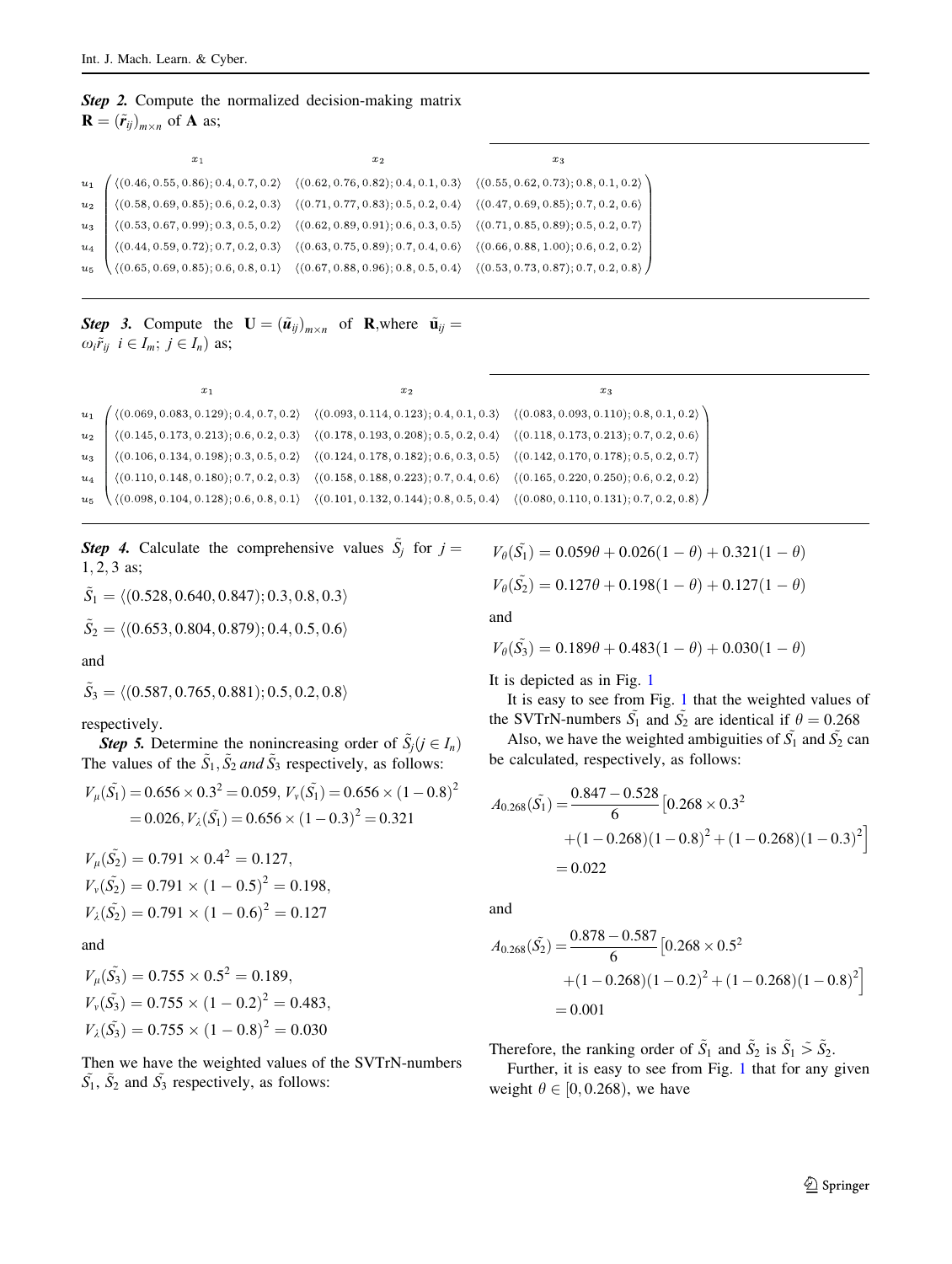|                                                              |  | <b>Step 2.</b> Compute the normalized decision-making matrix |  |
|--------------------------------------------------------------|--|--------------------------------------------------------------|--|
| $\mathbf{R} = (\tilde{r}_{ij})_{m \times n}$ of <b>A</b> as; |  |                                                              |  |

| $x_1$ | $x_2$ | $x_3$                                                                                                                                                                                                                                                                                                                                                                   |
|-------|-------|-------------------------------------------------------------------------------------------------------------------------------------------------------------------------------------------------------------------------------------------------------------------------------------------------------------------------------------------------------------------------|
|       |       | $\begin{array}{c} u_1 \\ u_2 \\ \hline \\ u_3 \\ u_4 \\ \hline \\ \end{array} \quad \  \  \left. \begin{array}{l} \langle (0.46, 0.55, 0.86); 0.4, 0.7, 0.2 \rangle \quad \langle (0.62, 0.76, 0.82); 0.4, 0.1, 0.3 \rangle \quad \langle (0.55, 0.62, 0.73); 0.8, 0.1, 0.2 \rangle \\ \langle (0.58, 0.69, 0.85); 0.6, 0.2, 0.3 \rangle \quad \langle (0.71, 0.77, 0.$ |
|       |       |                                                                                                                                                                                                                                                                                                                                                                         |
|       |       |                                                                                                                                                                                                                                                                                                                                                                         |
|       |       |                                                                                                                                                                                                                                                                                                                                                                         |
|       |       |                                                                                                                                                                                                                                                                                                                                                                         |

**Step 3.** Compute the  $\mathbf{U} = (\tilde{u}_{ij})_{m \times n}$  of **R**, where  $\tilde{u}_{ij} =$  $\omega_i \tilde{r}_{ij}$   $i \in I_m$ ;  $j \in I_n$ ) as;

|       | $x_1$                                                  | $x_2$                                                                                                                                                                        | $x_3$                                                  |
|-------|--------------------------------------------------------|------------------------------------------------------------------------------------------------------------------------------------------------------------------------------|--------------------------------------------------------|
| $u_1$ | $\langle (0.069, 0.083, 0.129); 0.4, 0.7, 0.2 \rangle$ | $\langle (0.093, 0.114, 0.123); 0.4, 0.1, 0.3 \rangle \quad \langle (0.083, 0.093, 0.110); 0.8, 0.1, 0.2 \rangle$                                                            |                                                        |
| $u_2$ |                                                        | $\langle (0.145, 0.173, 0.213); 0.6, 0.2, 0.3 \rangle \quad \langle (0.178, 0.193, 0.208); 0.5, 0.2, 0.4 \rangle \quad \langle (0.118, 0.173, 0.213); 0.7, 0.2, 0.6 \rangle$ |                                                        |
| $u_3$ |                                                        | $\langle (0.106, 0.134, 0.198); 0.3, 0.5, 0.2 \rangle \quad \langle (0.124, 0.178, 0.182); 0.6, 0.3, 0.5 \rangle \quad \langle (0.142, 0.170, 0.178); 0.5, 0.2, 0.7 \rangle$ |                                                        |
| $u_4$ | $\langle (0.110, 0.148, 0.180); 0.7, 0.2, 0.3 \rangle$ | $\langle (0.158, 0.188, 0.223); 0.7, 0.4, 0.6 \rangle$                                                                                                                       | $\langle (0.165, 0.220, 0.250); 0.6, 0.2, 0.2 \rangle$ |
| u     | $\langle (0.098, 0.104, 0.128); 0.6, 0.8, 0.1 \rangle$ | $\langle (0.101, 0.132, 0.144); 0.8, 0.5, 0.4 \rangle$                                                                                                                       | $\langle (0.080, 0.110, 0.131); 0.7, 0.2, 0.8 \rangle$ |

**Step 4.** Calculate the comprehensive values  $\tilde{S}_j$  for  $j = 1, 2, 3,$  as:  $1, 2, 3$  as;

$$
\tilde{S}_1 = \langle (0.528, 0.640, 0.847); 0.3, 0.8, 0.3 \rangle
$$
  

$$
\tilde{S}_2 = \langle (0.653, 0.804, 0.879); 0.4, 0.5, 0.6 \rangle
$$

and

$$
\tilde{S}_3 = \langle (0.587, 0.765, 0.881); 0.5, 0.2, 0.8 \rangle
$$

respectively.

**Step 5.** Determine the nonincreasing order of  $S_i$   $(j \in I_n)$ The values of the  $\tilde{S}_1$ ,  $\tilde{S}_2$  and  $\tilde{S}_3$  respectively, as follows:

$$
V_{\mu}(\tilde{S_1}) = 0.656 \times 0.3^2 = 0.059, V_{\nu}(\tilde{S_1}) = 0.656 \times (1 - 0.8)^2
$$
  
= 0.026,  $V_{\lambda}(\tilde{S_1}) = 0.656 \times (1 - 0.3)^2 = 0.321$ 

$$
V_{\mu}(\tilde{S_2}) = 0.791 \times 0.4^2 = 0.127,
$$
  
\n
$$
V_{\nu}(\tilde{S_2}) = 0.791 \times (1 - 0.5)^2 = 0.198,
$$
  
\n
$$
V_{\lambda}(\tilde{S_2}) = 0.791 \times (1 - 0.6)^2 = 0.127
$$

and

$$
V_{\mu}(\tilde{S_3}) = 0.755 \times 0.5^2 = 0.189,
$$
  
\n
$$
V_{\nu}(\tilde{S_3}) = 0.755 \times (1 - 0.2)^2 = 0.483,
$$
  
\n
$$
V_{\lambda}(\tilde{S_3}) = 0.755 \times (1 - 0.8)^2 = 0.030
$$

Then we have the weighted values of the SVTrN-numbers  $\tilde{S_1}$ ,  $\tilde{S_2}$  and  $\tilde{S_3}$  respectively, as follows:

$$
V_{\theta}(\tilde{S_1}) = 0.059\theta + 0.026(1 - \theta) + 0.321(1 - \theta)
$$
  

$$
V_{\theta}(\tilde{S_2}) = 0.127\theta + 0.198(1 - \theta) + 0.127(1 - \theta)
$$

and

$$
V_{\theta}(\tilde{S_3}) = 0.189\theta + 0.483(1 - \theta) + 0.030(1 - \theta)
$$

It is depicted as in Fig. 1

It is easy to see from Fig. 1 that the weighted values of the SVTrN-numbers  $\tilde{S}_1$  and  $\tilde{S}_2$  are identical if  $\theta = 0.268$ <br>Also we have the weighted ambiguities of  $\tilde{S}_1$  and  $\tilde{S}_2$  can

Also, we have the weighted ambiguities of  $\tilde{S_1}$  and  $\tilde{S_2}$  can be calculated, respectively, as follows:

$$
A_{0.268}(\tilde{S}_1) = \frac{0.847 - 0.528}{6} [0.268 \times 0.3^2
$$
  
+(1 - 0.268)(1 - 0.8)<sup>2</sup> + (1 - 0.268)(1 - 0.3)<sup>2</sup>]  
= 0.022

and

$$
A_{0.268}(\tilde{S}_2) = \frac{0.878 - 0.587}{6} [0.268 \times 0.5^2
$$
  
+(1 - 0.268)(1 - 0.2)<sup>2</sup> + (1 - 0.268)(1 - 0.8)<sup>2</sup>]  
= 0.001

Therefore, the ranking order of  $\tilde{S}_1$  and  $\tilde{S}_2$  is  $\tilde{S}_1 \tilde{S}_2$ .

Further, it is easy to see from Fig. 1 that for any given weight  $\theta \in [0, 0.268)$ , we have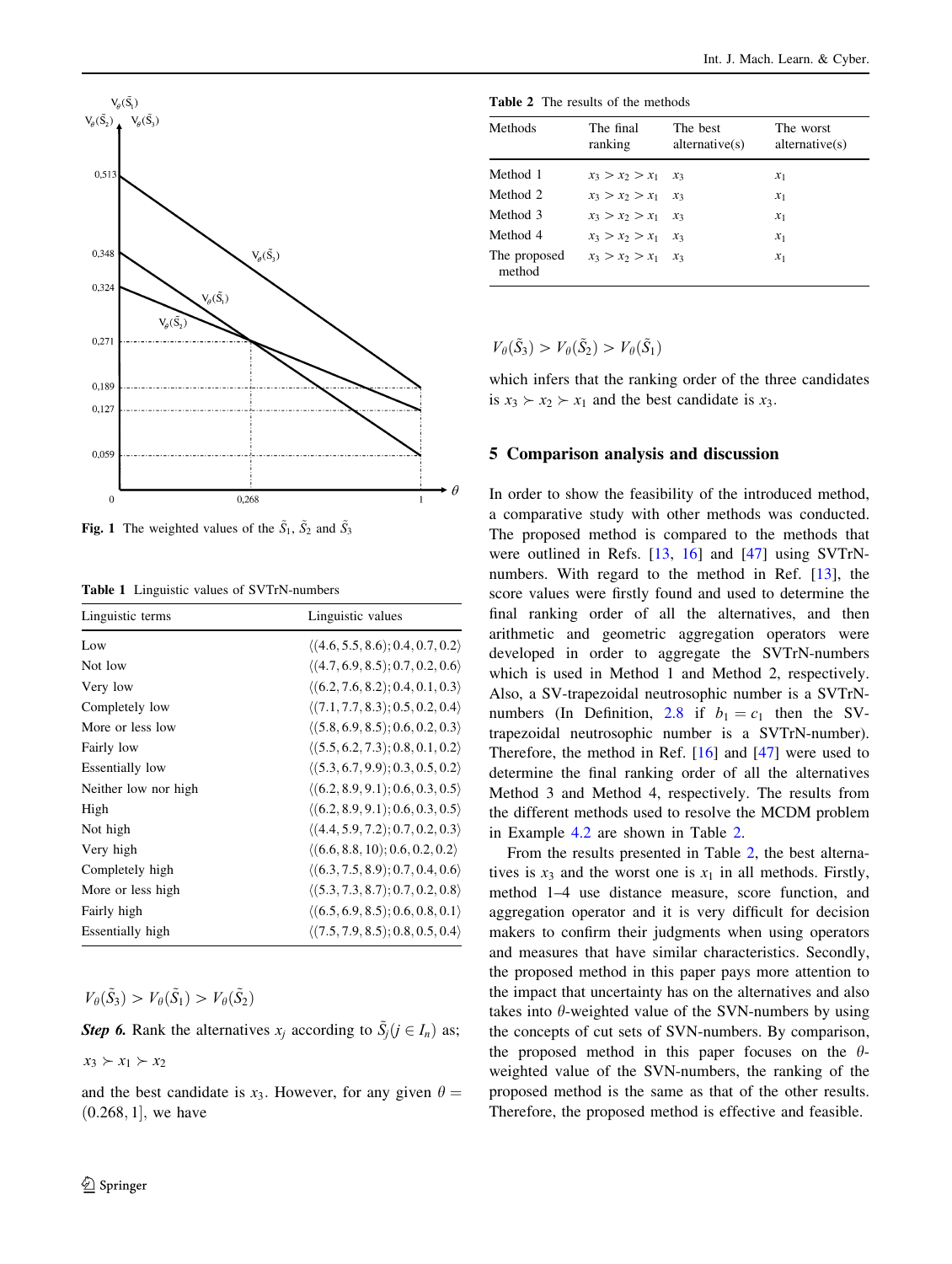

**Fig. 1** The weighted values of the  $\tilde{S}_1$ ,  $\tilde{S}_2$  and  $\tilde{S}_3$ 

Table 1 Linguistic values of SVTrN-numbers

| Linguistic terms     | Linguistic values                                |
|----------------------|--------------------------------------------------|
| Low                  | $\langle (4.6, 5.5, 8.6); 0.4, 0.7, 0.2 \rangle$ |
| Not low              | $\langle (4.7, 6.9, 8.5); 0.7, 0.2, 0.6 \rangle$ |
| Very low             | $\langle (6.2, 7.6, 8.2); 0.4, 0.1, 0.3 \rangle$ |
| Completely low       | $\langle (7.1, 7.7, 8.3); 0.5, 0.2, 0.4 \rangle$ |
| More or less low     | $\langle (5.8, 6.9, 8.5); 0.6, 0.2, 0.3 \rangle$ |
| Fairly low           | $\langle (5.5, 6.2, 7.3); 0.8, 0.1, 0.2 \rangle$ |
| Essentially low      | $\langle (5.3, 6.7, 9.9); 0.3, 0.5, 0.2 \rangle$ |
| Neither low nor high | $\langle (6.2, 8.9, 9.1); 0.6, 0.3, 0.5 \rangle$ |
| High                 | $\langle (6.2, 8.9, 9.1); 0.6, 0.3, 0.5 \rangle$ |
| Not high             | $\langle (4.4, 5.9, 7.2); 0.7, 0.2, 0.3 \rangle$ |
| Very high            | $\langle (6.6, 8.8, 10); 0.6, 0.2, 0.2 \rangle$  |
| Completely high      | $\langle (6.3, 7.5, 8.9); 0.7, 0.4, 0.6 \rangle$ |
| More or less high    | $\langle (5.3, 7.3, 8.7); 0.7, 0.2, 0.8 \rangle$ |
| Fairly high          | $\langle (6.5, 6.9, 8.5); 0.6, 0.8, 0.1 \rangle$ |
| Essentially high     | $\langle (7.5, 7.9, 8.5); 0.8, 0.5, 0.4 \rangle$ |

 $V_{\theta}(\tilde{S}_3) > V_{\theta}(\tilde{S}_1) > V_{\theta}(\tilde{S}_2)$ 

**Step 6.** Rank the alternatives  $x_j$  according to  $\tilde{S}_j$   $(j \in I_n)$  as;

 $x_3 \succ x_1 \succ x_2$ 

and the best candidate is  $x_3$ . However, for any given  $\theta =$  $(0.268, 1]$ , we have

Table 2 The results of the methods

| <b>Methods</b>         | The final<br>ranking    | The best<br>alternative(s) | The worst<br>alternative(s) |
|------------------------|-------------------------|----------------------------|-----------------------------|
|                        |                         |                            |                             |
| Method 1               | $x_3 > x_2 > x_1$ $x_3$ |                            | $x_1$                       |
| Method 2               | $x_3 > x_2 > x_1$       | $\mathcal{X}_3$            | $x_1$                       |
| Method 3               | $x_3 > x_2 > x_1$       | $\mathcal{X}_3$            | $x_1$                       |
| Method 4               | $x_3 > x_2 > x_1$       | $\chi_3$                   | $x_1$                       |
| The proposed<br>method | $x_3 > x_2 > x_1$ $x_3$ |                            | $x_1$                       |

 $V_{\theta}(\tilde{S}_3) > V_{\theta}(\tilde{S}_2) > V_{\theta}(\tilde{S}_1)$ 

which infers that the ranking order of the three candidates is  $x_3 \succ x_2 \succ x_1$  and the best candidate is  $x_3$ .

#### 5 Comparison analysis and discussion

In order to show the feasibility of the introduced method, a comparative study with other methods was conducted. The proposed method is compared to the methods that were outlined in Refs. [13, 16] and [47] using SVTrNnumbers. With regard to the method in Ref. [13], the score values were firstly found and used to determine the final ranking order of all the alternatives, and then arithmetic and geometric aggregation operators were developed in order to aggregate the SVTrN-numbers which is used in Method 1 and Method 2, respectively. Also, a SV-trapezoidal neutrosophic number is a SVTrNnumbers (In Definition, 2.8 if  $b_1 = c_1$  then the SVtrapezoidal neutrosophic number is a SVTrN-number). Therefore, the method in Ref. [16] and [47] were used to determine the final ranking order of all the alternatives Method 3 and Method 4, respectively. The results from the different methods used to resolve the MCDM problem in Example 4.2 are shown in Table 2.

From the results presented in Table 2, the best alternatives is  $x_3$  and the worst one is  $x_1$  in all methods. Firstly, method 1–4 use distance measure, score function, and aggregation operator and it is very difficult for decision makers to confirm their judgments when using operators and measures that have similar characteristics. Secondly, the proposed method in this paper pays more attention to the impact that uncertainty has on the alternatives and also takes into  $\theta$ -weighted value of the SVN-numbers by using the concepts of cut sets of SVN-numbers. By comparison, the proposed method in this paper focuses on the  $\theta$ weighted value of the SVN-numbers, the ranking of the proposed method is the same as that of the other results. Therefore, the proposed method is effective and feasible.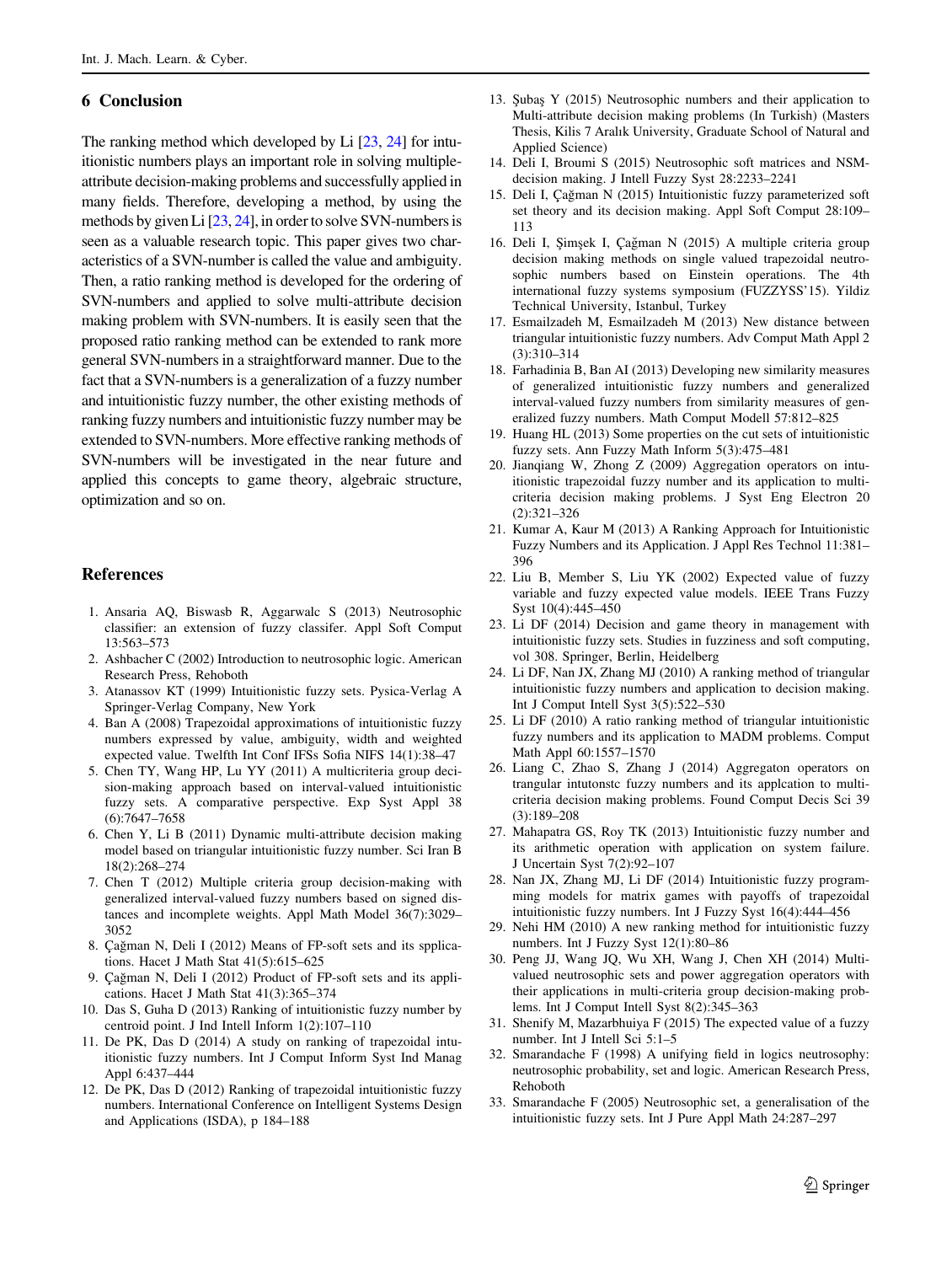## 6 Conclusion

The ranking method which developed by Li [23, 24] for intuitionistic numbers plays an important role in solving multipleattribute decision-making problems and successfully applied in many fields. Therefore, developing a method, by using the methods by given Li [23, 24], in order to solve SVN-numbers is seen as a valuable research topic. This paper gives two characteristics of a SVN-number is called the value and ambiguity. Then, a ratio ranking method is developed for the ordering of SVN-numbers and applied to solve multi-attribute decision making problem with SVN-numbers. It is easily seen that the proposed ratio ranking method can be extended to rank more general SVN-numbers in a straightforward manner. Due to the fact that a SVN-numbers is a generalization of a fuzzy number and intuitionistic fuzzy number, the other existing methods of ranking fuzzy numbers and intuitionistic fuzzy number may be extended to SVN-numbers. More effective ranking methods of SVN-numbers will be investigated in the near future and applied this concepts to game theory, algebraic structure, optimization and so on.

#### References

- 1. Ansaria AQ, Biswasb R, Aggarwalc S (2013) Neutrosophic classifier: an extension of fuzzy classifer. Appl Soft Comput 13:563–573
- 2. Ashbacher C (2002) Introduction to neutrosophic logic. American Research Press, Rehoboth
- 3. Atanassov KT (1999) Intuitionistic fuzzy sets. Pysica-Verlag A Springer-Verlag Company, New York
- 4. Ban A (2008) Trapezoidal approximations of intuitionistic fuzzy numbers expressed by value, ambiguity, width and weighted expected value. Twelfth Int Conf IFSs Sofia NIFS 14(1):38–47
- 5. Chen TY, Wang HP, Lu YY (2011) A multicriteria group decision-making approach based on interval-valued intuitionistic fuzzy sets. A comparative perspective. Exp Syst Appl 38 (6):7647–7658
- 6. Chen Y, Li B (2011) Dynamic multi-attribute decision making model based on triangular intuitionistic fuzzy number. Sci Iran B 18(2):268–274
- 7. Chen T (2012) Multiple criteria group decision-making with generalized interval-valued fuzzy numbers based on signed distances and incomplete weights. Appl Math Model 36(7):3029– 3052
- 8. Çağman N, Deli I (2012) Means of FP-soft sets and its spplica-˙ tions. Hacet J Math Stat 41(5):615–625
- 9. Çağman N, Deli I (2012) Product of FP-soft sets and its appli-˙ cations. Hacet J Math Stat 41(3):365–374
- 10. Das S, Guha D (2013) Ranking of intuitionistic fuzzy number by centroid point. J Ind Intell Inform 1(2):107–110
- 11. De PK, Das D (2014) A study on ranking of trapezoidal intuitionistic fuzzy numbers. Int J Comput Inform Syst Ind Manag Appl 6:437–444
- 12. De PK, Das D (2012) Ranking of trapezoidal intuitionistic fuzzy numbers. International Conference on Intelligent Systems Design and Applications (ISDA), p 184–188
- 13. Şubaş Y (2015) Neutrosophic numbers and their application to Multi-attribute decision making problems (In Turkish) (Masters Thesis, Kilis 7 Aralık University, Graduate School of Natural and Applied Science)
- 14. Deli I, Broumi S (2015) Neutrosophic soft matrices and NSMdecision making. J Intell Fuzzy Syst 28:2233–2241
- 15. Deli I, Çağman N (2015) Intuitionistic fuzzy parameterized soft set theory and its decision making. Appl Soft Comput 28:109– 113
- 16. Deli I, Şimşek I, Çağman N (2015) A multiple criteria group ˙ decision making methods on single valued trapezoidal neutrosophic numbers based on Einstein operations. The 4th international fuzzy systems symposium (FUZZYSS'15). Yildiz Technical University, Istanbul, Turkey
- 17. Esmailzadeh M, Esmailzadeh M (2013) New distance between triangular intuitionistic fuzzy numbers. Adv Comput Math Appl 2 (3):310–314
- 18. Farhadinia B, Ban AI (2013) Developing new similarity measures of generalized intuitionistic fuzzy numbers and generalized interval-valued fuzzy numbers from similarity measures of generalized fuzzy numbers. Math Comput Modell 57:812–825
- 19. Huang HL (2013) Some properties on the cut sets of intuitionistic fuzzy sets. Ann Fuzzy Math Inform 5(3):475–481
- 20. Jianqiang W, Zhong Z (2009) Aggregation operators on intuitionistic trapezoidal fuzzy number and its application to multicriteria decision making problems. J Syst Eng Electron 20 (2):321–326
- 21. Kumar A, Kaur M (2013) A Ranking Approach for Intuitionistic Fuzzy Numbers and its Application. J Appl Res Technol 11:381– 396
- 22. Liu B, Member S, Liu YK (2002) Expected value of fuzzy variable and fuzzy expected value models. IEEE Trans Fuzzy Syst 10(4):445–450
- 23. Li DF (2014) Decision and game theory in management with intuitionistic fuzzy sets. Studies in fuzziness and soft computing, vol 308. Springer, Berlin, Heidelberg
- 24. Li DF, Nan JX, Zhang MJ (2010) A ranking method of triangular intuitionistic fuzzy numbers and application to decision making. Int J Comput Intell Syst 3(5):522–530
- 25. Li DF (2010) A ratio ranking method of triangular intuitionistic fuzzy numbers and its application to MADM problems. Comput Math Appl 60:1557–1570
- 26. Liang C, Zhao S, Zhang J (2014) Aggregaton operators on trangular intutonstc fuzzy numbers and its applcation to multicriteria decision making problems. Found Comput Decis Sci 39 (3):189–208
- 27. Mahapatra GS, Roy TK (2013) Intuitionistic fuzzy number and its arithmetic operation with application on system failure. J Uncertain Syst 7(2):92–107
- 28. Nan JX, Zhang MJ, Li DF (2014) Intuitionistic fuzzy programming models for matrix games with payoffs of trapezoidal intuitionistic fuzzy numbers. Int J Fuzzy Syst 16(4):444–456
- 29. Nehi HM (2010) A new ranking method for intuitionistic fuzzy numbers. Int J Fuzzy Syst 12(1):80–86
- 30. Peng JJ, Wang JQ, Wu XH, Wang J, Chen XH (2014) Multivalued neutrosophic sets and power aggregation operators with their applications in multi-criteria group decision-making problems. Int J Comput Intell Syst 8(2):345–363
- 31. Shenify M, Mazarbhuiya F (2015) The expected value of a fuzzy number. Int J Intell Sci 5:1–5
- 32. Smarandache F (1998) A unifying field in logics neutrosophy: neutrosophic probability, set and logic. American Research Press, Rehoboth
- 33. Smarandache F (2005) Neutrosophic set, a generalisation of the intuitionistic fuzzy sets. Int J Pure Appl Math 24:287–297